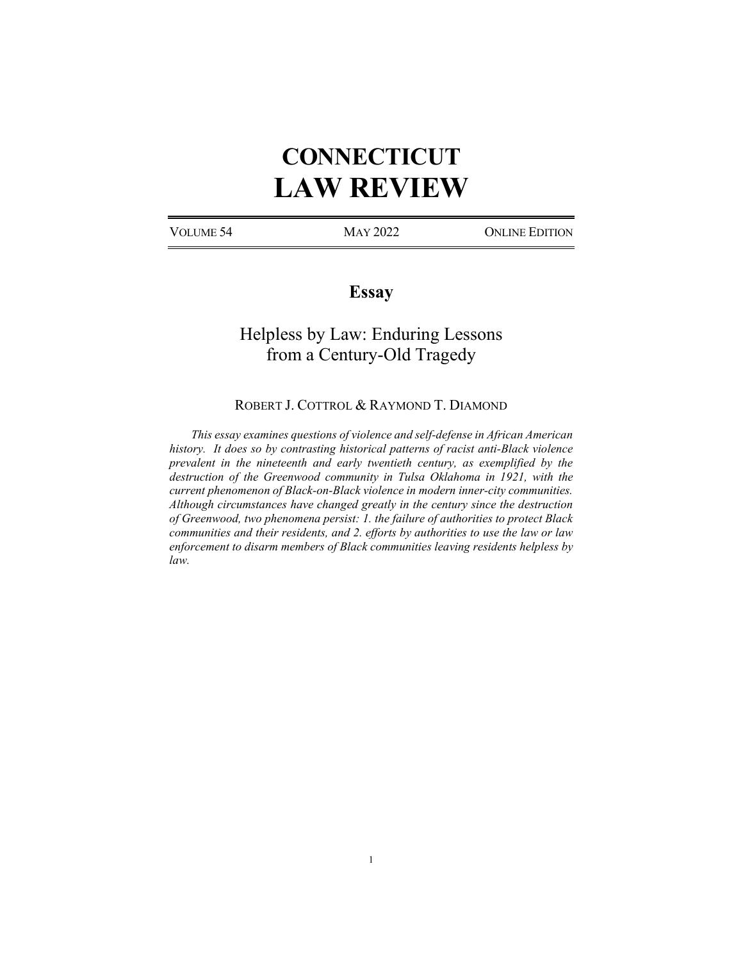# **CONNECTICUT LAW REVIEW**

VOLUME 54 MAY 2022 ONLINE EDITION

# **Essay**

# Helpless by Law: Enduring Lessons from a Century-Old Tragedy

ROBERT J. COTTROL & RAYMOND T. DIAMOND

*This essay examines questions of violence and self-defense in African American history. It does so by contrasting historical patterns of racist anti-Black violence prevalent in the nineteenth and early twentieth century, as exemplified by the destruction of the Greenwood community in Tulsa Oklahoma in 1921, with the current phenomenon of Black-on-Black violence in modern inner-city communities. Although circumstances have changed greatly in the century since the destruction of Greenwood, two phenomena persist: 1. the failure of authorities to protect Black communities and their residents, and 2. efforts by authorities to use the law or law enforcement to disarm members of Black communities leaving residents helpless by law.*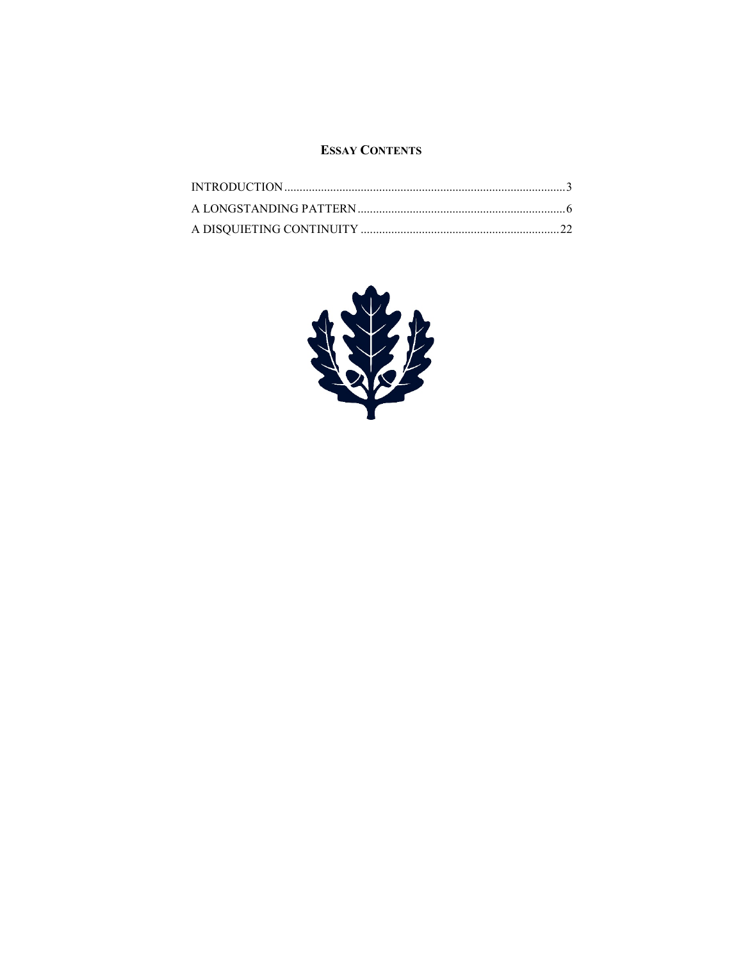# **ESSAY CONTENTS**

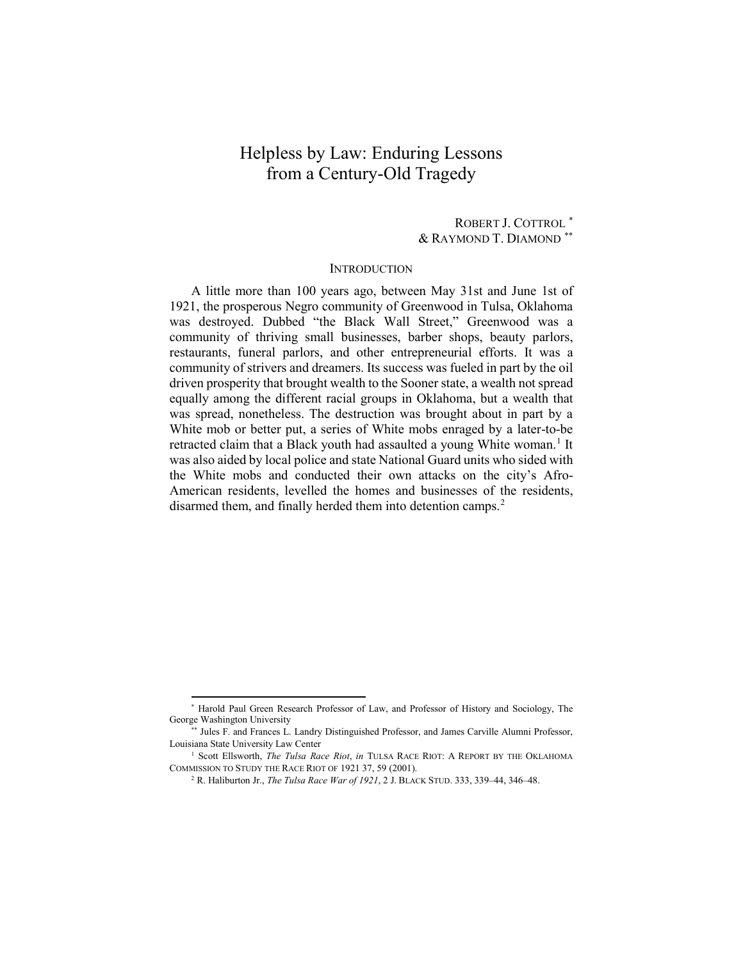# Helpless by Law: Enduring Lessons from a Century-Old Tragedy

ROBERT J. COTTROL [\\*](#page-2-0) & RAYMOND T. DIAMOND [\\*\\*](#page-2-1)

# **INTRODUCTION**

A little more than 100 years ago, between May 31st and June 1st of 1921, the prosperous Negro community of Greenwood in Tulsa, Oklahoma was destroyed. Dubbed "the Black Wall Street," Greenwood was a community of thriving small businesses, barber shops, beauty parlors, restaurants, funeral parlors, and other entrepreneurial efforts. It was a community of strivers and dreamers. Its success was fueled in part by the oil driven prosperity that brought wealth to the Sooner state, a wealth not spread equally among the different racial groups in Oklahoma, but a wealth that was spread, nonetheless. The destruction was brought about in part by a White mob or better put, a series of White mobs enraged by a later-to-be retracted claim that a Black youth had assaulted a young White woman.<sup>[1](#page-2-2)</sup> It was also aided by local police and state National Guard units who sided with the White mobs and conducted their own attacks on the city's Afro-American residents, levelled the homes and businesses of the residents, disarmed them, and finally herded them into detention camps. [2](#page-2-3)

<span id="page-2-0"></span> <sup>\*</sup> Harold Paul Green Research Professor of Law, and Professor of History and Sociology, The George Washington University

<span id="page-2-1"></span><sup>\*\*</sup> Jules F. and Frances L. Landry Distinguished Professor, and James Carville Alumni Professor, Louisiana State University Law Center

<span id="page-2-3"></span><span id="page-2-2"></span><sup>&</sup>lt;sup>1</sup> Scott Ellsworth, *The Tulsa Race Riot*, *in* TULSA RACE RIOT: A REPORT BY THE OKLAHOMA COMMISSION TO STUDY THE RACE RIOT OF 1921 37, 59 (2001).

<sup>2</sup> R. Haliburton Jr., *The Tulsa Race War of 1921*, 2 J. BLACK STUD. 333, 339–44, 346–48.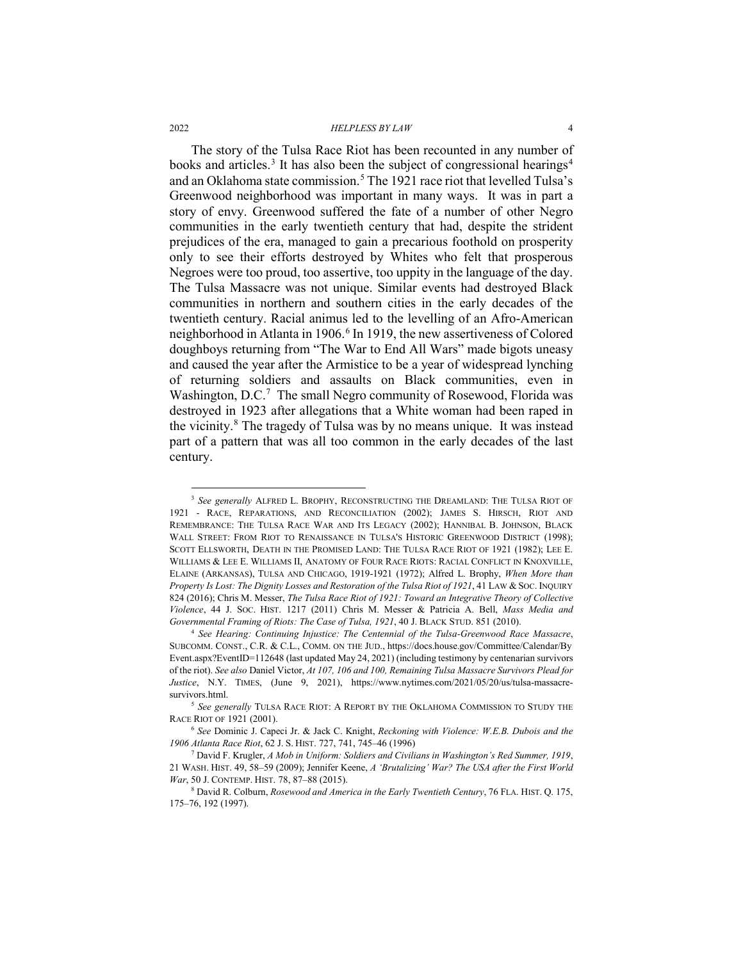<span id="page-3-6"></span>The story of the Tulsa Race Riot has been recounted in any number of books and articles.<sup>[3](#page-3-0)</sup> It has also been the subject of congressional hearings<sup>[4](#page-3-1)</sup> and an Oklahoma state commission.<sup>[5](#page-3-2)</sup> The 1921 race riot that levelled Tulsa's Greenwood neighborhood was important in many ways. It was in part a story of envy. Greenwood suffered the fate of a number of other Negro communities in the early twentieth century that had, despite the strident prejudices of the era, managed to gain a precarious foothold on prosperity only to see their efforts destroyed by Whites who felt that prosperous Negroes were too proud, too assertive, too uppity in the language of the day. The Tulsa Massacre was not unique. Similar events had destroyed Black communities in northern and southern cities in the early decades of the twentieth century. Racial animus led to the levelling of an Afro-American neighborhood in Atlanta in 190[6](#page-3-3).<sup>6</sup> In 1919, the new assertiveness of Colored doughboys returning from "The War to End All Wars" made bigots uneasy and caused the year after the Armistice to be a year of widespread lynching of returning soldiers and assaults on Black communities, even in Washington, D.C.<sup>7</sup> The small Negro community of Rosewood, Florida was destroyed in 1923 after allegations that a White woman had been raped in the vicinity.[8](#page-3-5) The tragedy of Tulsa was by no means unique. It was instead part of a pattern that was all too common in the early decades of the last century.

<span id="page-3-0"></span><sup>&</sup>lt;sup>3</sup> See generally ALFRED L. BROPHY, RECONSTRUCTING THE DREAMLAND: THE TULSA RIOT OF 1921 - RACE, REPARATIONS, AND RECONCILIATION (2002); JAMES S. HIRSCH, RIOT AND REMEMBRANCE: THE TULSA RACE WAR AND ITS LEGACY (2002); HANNIBAL B. JOHNSON, BLACK WALL STREET: FROM RIOT TO RENAISSANCE IN TULSA'S HISTORIC GREENWOOD DISTRICT (1998); SCOTT ELLSWORTH, DEATH IN THE PROMISED LAND: THE TULSA RACE RIOT OF 1921 (1982); LEE E. WILLIAMS & LEE E. WILLIAMS II, ANATOMY OF FOUR RACE RIOTS: RACIAL CONFLICT IN KNOXVILLE, ELAINE (ARKANSAS), TULSA AND CHICAGO, 1919-1921 (1972); Alfred L. Brophy, *When More than Property Is Lost: The Dignity Losses and Restoration of the Tulsa Riot of 1921*, 41 LAW & SOC. INQUIRY 824 (2016); Chris M. Messer, *The Tulsa Race Riot of 1921: Toward an Integrative Theory of Collective Violence*, 44 J. SOC. HIST. 1217 (2011) Chris M. Messer & Patricia A. Bell, *Mass Media and Governmental Framing of Riots: The Case of Tulsa, 1921*, 40 J. BLACK STUD. 851 (2010).

<span id="page-3-1"></span><sup>4</sup> *See Hearing: Continuing Injustice: The Centennial of the Tulsa-Greenwood Race Massacre*, SUBCOMM. CONST., C.R. & C.L., COMM. ON THE JUD., https://docs.house.gov/Committee/Calendar/By Event.aspx?EventID=112648 (last updated May 24, 2021) (including testimony by centenarian survivors of the riot). *See also* Daniel Victor, *At 107, 106 and 100, Remaining Tulsa Massacre Survivors Plead for Justice*, N.Y. TIMES, (June 9, 2021), https://www.nytimes.com/2021/05/20/us/tulsa-massacresurvivors.html. 5 *See generally* TULSA RACE RIOT: A REPORT BY THE OKLAHOMA COMMISSION TO STUDY THE

<span id="page-3-2"></span>RACE RIOT OF 1921 (2001).

<span id="page-3-3"></span><sup>6</sup> *See* Dominic J. Capeci Jr. & Jack C. Knight, *Reckoning with Violence: W.E.B. Dubois and the 1906 Atlanta Race Riot*, 62 J. S. HIST. 727, 741, 745–46 (1996)

<span id="page-3-4"></span><sup>7</sup> David F. Krugler, *A Mob in Uniform: Soldiers and Civilians in Washington's Red Summer, 1919*, 21 WASH. HIST. 49, 58–59 (2009); Jennifer Keene, *A 'Brutalizing' War? The USA after the First World War*, 50 J. CONTEMP. HIST. 78, 87–88 (2015).

<span id="page-3-5"></span><sup>8</sup> David R. Colburn, *Rosewood and America in the Early Twentieth Century*, 76 FLA. HIST. Q. 175, 175–76, 192 (1997).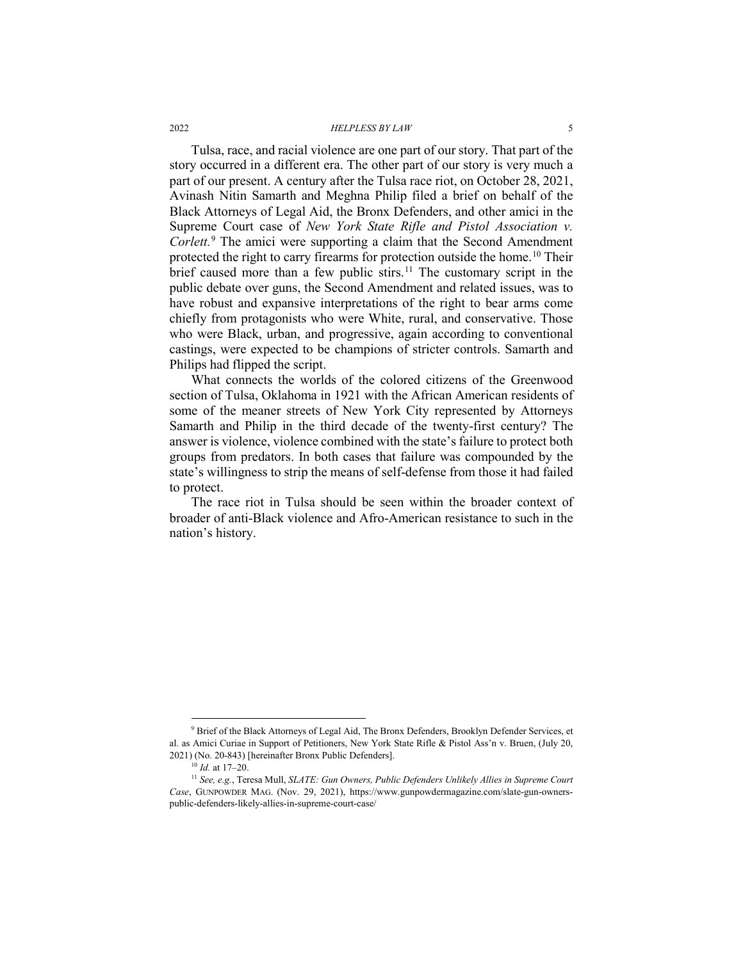<span id="page-4-3"></span>Tulsa, race, and racial violence are one part of our story. That part of the story occurred in a different era. The other part of our story is very much a part of our present. A century after the Tulsa race riot, on October 28, 2021, Avinash Nitin Samarth and Meghna Philip filed a brief on behalf of the Black Attorneys of Legal Aid, the Bronx Defenders, and other amici in the Supreme Court case of *New York State Rifle and Pistol Association v. Corlett.*[9](#page-4-0) The amici were supporting a claim that the Second Amendment protected the right to carry firearms for protection outside the home.<sup>[10](#page-4-1)</sup> Their brief caused more than a few public stirs.<sup>[11](#page-4-2)</sup> The customary script in the public debate over guns, the Second Amendment and related issues, was to have robust and expansive interpretations of the right to bear arms come chiefly from protagonists who were White, rural, and conservative. Those who were Black, urban, and progressive, again according to conventional castings, were expected to be champions of stricter controls. Samarth and Philips had flipped the script.

What connects the worlds of the colored citizens of the Greenwood section of Tulsa, Oklahoma in 1921 with the African American residents of some of the meaner streets of New York City represented by Attorneys Samarth and Philip in the third decade of the twenty-first century? The answer is violence, violence combined with the state's failure to protect both groups from predators. In both cases that failure was compounded by the state's willingness to strip the means of self-defense from those it had failed to protect.

The race riot in Tulsa should be seen within the broader context of broader of anti-Black violence and Afro-American resistance to such in the nation's history.

<span id="page-4-0"></span><sup>&</sup>lt;sup>9</sup> Brief of the Black Attorneys of Legal Aid, The Bronx Defenders, Brooklyn Defender Services, et al. as Amici Curiae in Support of Petitioners, New York State Rifle & Pistol Ass'n v. Bruen, (July 20, 2021) (No. 20-843) [hereinafter Bronx Public Defenders].

<sup>10</sup> *Id.* at 17–20.

<span id="page-4-2"></span><span id="page-4-1"></span><sup>11</sup> *See, e.g.*, Teresa Mull, *SLATE: Gun Owners, Public Defenders Unlikely Allies in Supreme Court Case*, GUNPOWDER MAG. (Nov. 29, 2021), https://www.gunpowdermagazine.com/slate-gun-ownerspublic-defenders-likely-allies-in-supreme-court-case/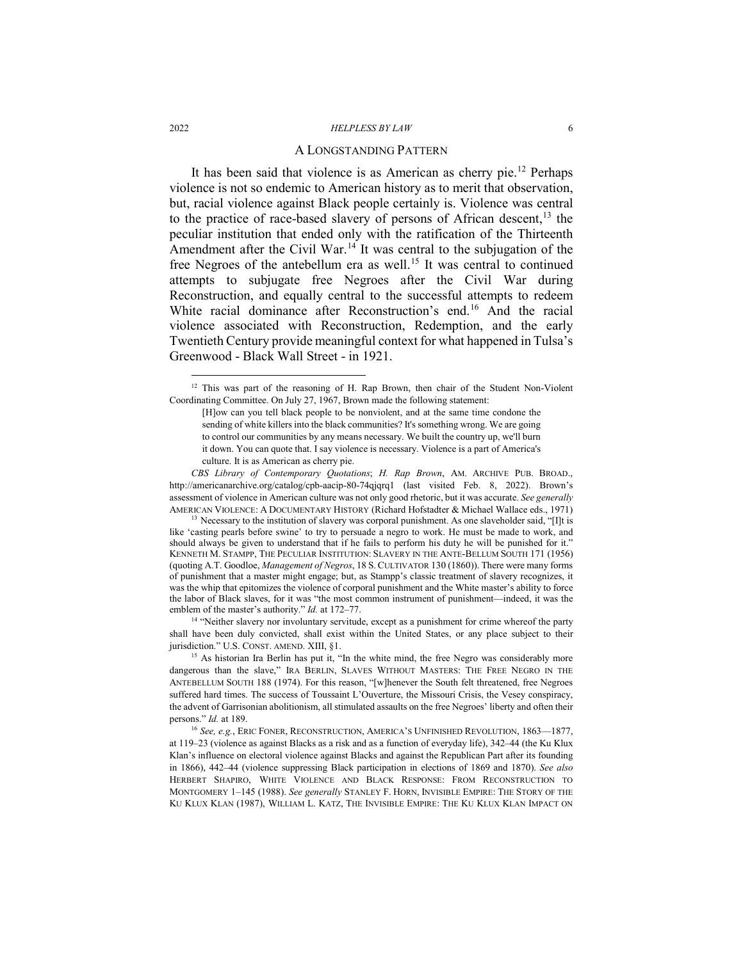#### <span id="page-5-5"></span>A LONGSTANDING PATTERN

It has been said that violence is as American as cherry pie.[12](#page-5-0) Perhaps violence is not so endemic to American history as to merit that observation, but, racial violence against Black people certainly is. Violence was central to the practice of race-based slavery of persons of African descent,<sup>[13](#page-5-1)</sup> the peculiar institution that ended only with the ratification of the Thirteenth Amendment after the Civil War.<sup>14</sup> It was central to the subjugation of the free Negroes of the antebellum era as well.<sup>[15](#page-5-3)</sup> It was central to continued attempts to subjugate free Negroes after the Civil War during Reconstruction, and equally central to the successful attempts to redeem White racial dominance after Reconstruction's end.<sup>[16](#page-5-4)</sup> And the racial violence associated with Reconstruction, Redemption, and the early Twentieth Century provide meaningful context for what happened in Tulsa's Greenwood - Black Wall Street - in 1921.

<span id="page-5-2"></span><sup>14</sup> "Neither slavery nor involuntary servitude, except as a punishment for crime whereof the party shall have been duly convicted, shall exist within the United States, or any place subject to their jurisdiction." U.S. CONST. AMEND. XIII, §1.

<span id="page-5-0"></span><sup>&</sup>lt;sup>12</sup> This was part of the reasoning of H. Rap Brown, then chair of the Student Non-Violent Coordinating Committee. On July 27, 1967, Brown made the following statement:

<sup>[</sup>H]ow can you tell black people to be nonviolent, and at the same time condone the sending of white killers into the black communities? It's something wrong. We are going to control our communities by any means necessary. We built the country up, we'll burn it down. You can quote that. I say violence is necessary. Violence is a part of America's culture. It is as American as cherry pie.

*CBS Library of Contemporary Quotations*; *H. Rap Brown*, AM. ARCHIVE PUB. BROAD., http://americanarchive.org/catalog/cpb-aacip-80-74qjqrq1 (last visited Feb. 8, 2022). Brown's assessment of violence in American culture was not only good rhetoric, but it was accurate. *See generally* AMERICAN VIOLENCE: A DOCUMENTARY HISTORY (Richard Hofstadter & Michael Wallace eds., 1971) <sup>13</sup> Necessary to the institution of slavery was corporal punishment. As one slaveholder said, "[I]t is

<span id="page-5-1"></span>like 'casting pearls before swine' to try to persuade a negro to work. He must be made to work, and should always be given to understand that if he fails to perform his duty he will be punished for it." KENNETH M. STAMPP, THE PECULIAR INSTITUTION: SLAVERY IN THE ANTE-BELLUM SOUTH 171 (1956) (quoting A.T. Goodloe, *Management of Negros*, 18 S. CULTIVATOR 130 (1860)). There were many forms of punishment that a master might engage; but, as Stampp's classic treatment of slavery recognizes, it was the whip that epitomizes the violence of corporal punishment and the White master's ability to force the labor of Black slaves, for it was "the most common instrument of punishment—indeed, it was the emblem of the master's authority." *Id.* at 172–77.

<span id="page-5-3"></span><sup>&</sup>lt;sup>15</sup> As historian Ira Berlin has put it, "In the white mind, the free Negro was considerably more dangerous than the slave," IRA BERLIN, SLAVES WITHOUT MASTERS: THE FREE NEGRO IN THE ANTEBELLUM SOUTH 188 (1974). For this reason, "[w]henever the South felt threatened, free Negroes suffered hard times. The success of Toussaint L'Ouverture, the Missouri Crisis, the Vesey conspiracy, the advent of Garrisonian abolitionism, all stimulated assaults on the free Negroes' liberty and often their persons." *Id.* at 189.

<span id="page-5-4"></span><sup>16</sup> *See, e.g.*, ERIC FONER, RECONSTRUCTION, AMERICA'S UNFINISHED REVOLUTION, 1863––1877, at 119–23 (violence as against Blacks as a risk and as a function of everyday life), 342–44 (the Ku Klux Klan's influence on electoral violence against Blacks and against the Republican Part after its founding in 1866), 442–44 (violence suppressing Black participation in elections of 1869 and 1870). *See also* HERBERT SHAPIRO, WHITE VIOLENCE AND BLACK RESPONSE: FROM RECONSTRUCTION TO MONTGOMERY 1–145 (1988). *See generally* STANLEY F. HORN, INVISIBLE EMPIRE: THE STORY OF THE KU KLUX KLAN (1987), WILLIAM L. KATZ, THE INVISIBLE EMPIRE: THE KU KLUX KLAN IMPACT ON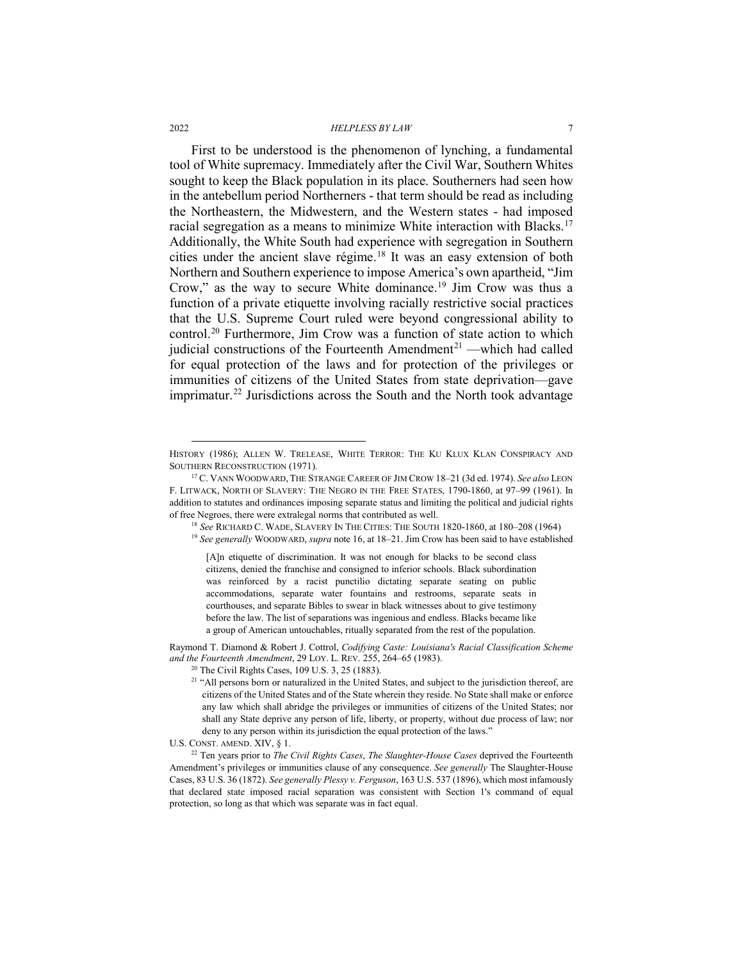First to be understood is the phenomenon of lynching, a fundamental tool of White supremacy. Immediately after the Civil War, Southern Whites sought to keep the Black population in its place. Southerners had seen how in the antebellum period Northerners - that term should be read as including the Northeastern, the Midwestern, and the Western states - had imposed racial segregation as a means to minimize White interaction with Blacks.<sup>[17](#page-6-0)</sup> Additionally, the White South had experience with segregation in Southern cities under the ancient slave régime.<sup>[18](#page-6-1)</sup> It was an easy extension of both Northern and Southern experience to impose America's own apartheid, "Jim Crow," as the way to secure White dominance.[19](#page-6-2) Jim Crow was thus a function of a private etiquette involving racially restrictive social practices that the U.S. Supreme Court ruled were beyond congressional ability to control.[20](#page-6-3) Furthermore, Jim Crow was a function of state action to which judicial constructions of the Fourteenth Amendment<sup>[21](#page-6-4)</sup> —which had called for equal protection of the laws and for protection of the privileges or immunities of citizens of the United States from state deprivation—gave imprimatur.<sup>22</sup> Jurisdictions across the South and the North took advantage

<span id="page-6-4"></span><span id="page-6-3"></span>Raymond T. Diamond & Robert J. Cottrol, *Codifying Caste: Louisiana's Racial Classification Scheme and the Fourteenth Amendment*, 29 LOY. L. REV. 255, 264–65 (1983). 20 The Civil Rights Cases, 109 U.S. 3, 25 (1883).

U.S. CONST. AMEND. XIV, § 1.

HISTORY (1986); ALLEN W. TRELEASE, WHITE TERROR: THE KU KLUX KLAN CONSPIRACY AND SOUTHERN RECONSTRUCTION (1971).

<span id="page-6-2"></span><span id="page-6-1"></span><span id="page-6-0"></span><sup>17</sup> C. VANN WOODWARD, THE STRANGE CAREER OF JIM CROW 18–21 (3d ed. 1974). *See also* LEON F. LITWACK, NORTH OF SLAVERY: THE NEGRO IN THE FREE STATES, 1790-1860, at 97–99 (1961). In addition to statutes and ordinances imposing separate status and limiting the political and judicial rights of free Negroes, there were extralegal norms that contributed as well.

<sup>18</sup> *See* RICHARD C. WADE, SLAVERY IN THE CITIES: THE SOUTH 1820-1860, at 180–208 (1964)

<sup>19</sup> *See generally* WOODWARD, *supra* note 16, at 18–21. Jim Crow has been said to have established

<sup>[</sup>A]n etiquette of discrimination. It was not enough for blacks to be second class citizens, denied the franchise and consigned to inferior schools. Black subordination was reinforced by a racist punctilio dictating separate seating on public accommodations, separate water fountains and restrooms, separate seats in courthouses, and separate Bibles to swear in black witnesses about to give testimony before the law. The list of separations was ingenious and endless. Blacks became like a group of American untouchables, ritually separated from the rest of the population.

<sup>&</sup>lt;sup>21</sup> "All persons born or naturalized in the United States, and subject to the jurisdiction thereof, are citizens of the United States and of the State wherein they reside. No State shall make or enforce any law which shall abridge the privileges or immunities of citizens of the United States; nor shall any State deprive any person of life, liberty, or property, without due process of law; nor deny to any person within its jurisdiction the equal protection of the laws."

<span id="page-6-5"></span><sup>22</sup> Ten years prior to *The Civil Rights Cases*, *The Slaughter-House Cases* deprived the Fourteenth Amendment's privileges or immunities clause of any consequence. *See generally* The Slaughter-House Cases, 83 U.S. 36 (1872). *See generally Plessy v. Ferguson*, 163 U.S. 537 (1896), which most infamously that declared state imposed racial separation was consistent with Section 1's command of equal protection, so long as that which was separate was in fact equal.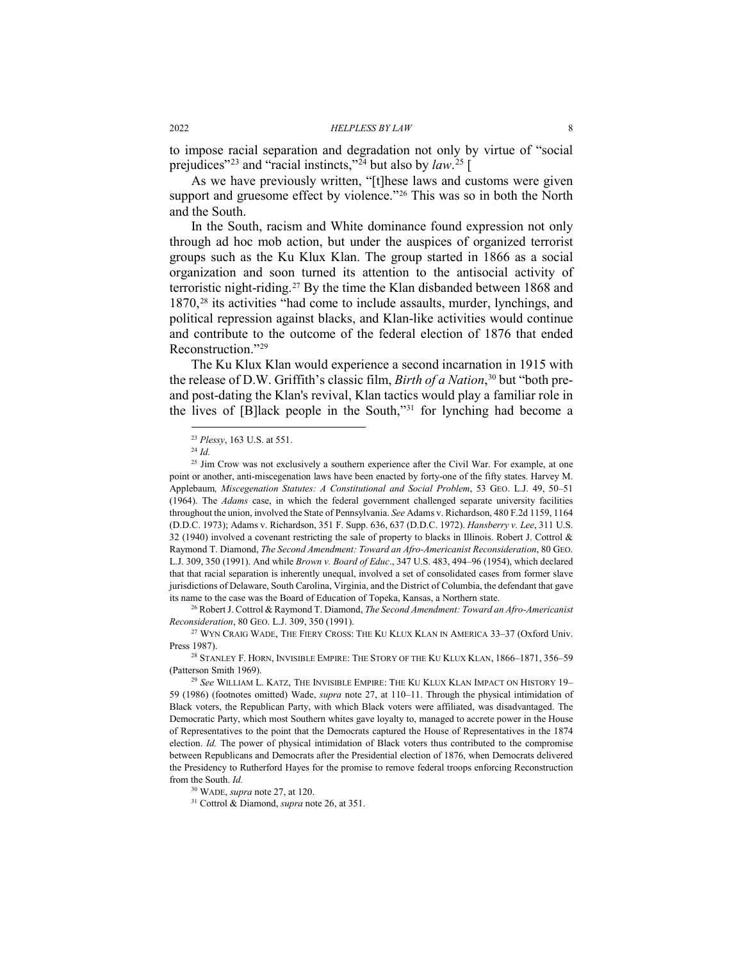to impose racial separation and degradation not only by virtue of "social prejudices"[23](#page-7-2) and "racial instincts,["24](#page-7-3) but also by *law*. [25](#page-7-4) [

<span id="page-7-1"></span>As we have previously written, "[t]hese laws and customs were given support and gruesome effect by violence."<sup>[26](#page-7-5)</sup> This was so in both the North and the South.

<span id="page-7-0"></span>In the South, racism and White dominance found expression not only through ad hoc mob action, but under the auspices of organized terrorist groups such as the Ku Klux Klan. The group started in 1866 as a social organization and soon turned its attention to the antisocial activity of terroristic night-riding.[27](#page-7-6) By the time the Klan disbanded between 1868 and 1870,[28](#page-7-7) its activities "had come to include assaults, murder, lynchings, and political repression against blacks, and Klan-like activities would continue and contribute to the outcome of the federal election of 1876 that ended Reconstruction.["29](#page-7-8)

The Ku Klux Klan would experience a second incarnation in 1915 with the release of D.W. Griffith's classic film, *Birth of a Nation*, [30](#page-7-9) but "both preand post-dating the Klan's revival, Klan tactics would play a familiar role in the lives of [B]lack people in the South,"[31](#page-7-10) for lynching had become a

<span id="page-7-5"></span><sup>26</sup> Robert J. Cottrol & Raymond T. Diamond, *The Second Amendment: Toward an Afro-Americanist Reconsideration*, 80 GEO. L.J. 309, 350 (1991).

 <sup>23</sup> *Plessy*, 163 U.S. at 551.

<sup>24</sup> *Id.*

<span id="page-7-4"></span><span id="page-7-3"></span><span id="page-7-2"></span><sup>&</sup>lt;sup>25</sup> Jim Crow was not exclusively a southern experience after the Civil War. For example, at one point or another, anti-miscegenation laws have been enacted by forty-one of the fifty states. Harvey M. Applebaum*, Miscegenation Statutes: A Constitutional and Social Problem*, 53 GEO. L.J. 49, 50–51 (1964). The *Adams* case, in which the federal government challenged separate university facilities throughout the union, involved the State of Pennsylvania. *See* Adams v. Richardson, 480 F.2d 1159, 1164 (D.D.C. 1973); Adams v. Richardson, 351 F. Supp. 636, 637 (D.D.C. 1972). *Hansberry v. Lee*, 311 U.S. 32 (1940) involved a covenant restricting the sale of property to blacks in Illinois. Robert J. Cottrol & Raymond T. Diamond, *The Second Amendment: Toward an Afro-Americanist Reconsideration*, 80 GEO. L.J. 309, 350 (1991). And while *Brown v. Board of Educ*., 347 U.S. 483, 494–96 (1954), which declared that that racial separation is inherently unequal, involved a set of consolidated cases from former slave jurisdictions of Delaware, South Carolina, Virginia, and the District of Columbia, the defendant that gave its name to the case was the Board of Education of Topeka, Kansas, a Northern state.

<span id="page-7-6"></span><sup>&</sup>lt;sup>27</sup> WYN CRAIG WADE, THE FIERY CROSS: THE KU KLUX KLAN IN AMERICA 33-37 (Oxford Univ. Press 1987).

<span id="page-7-7"></span><sup>28</sup> STANLEY F. HORN, INVISIBLE EMPIRE: THE STORY OF THE KU KLUX KLAN, 1866–1871, 356–59 (Patterson Smith 1969).

<span id="page-7-8"></span><sup>29</sup> *See* WILLIAM L. KATZ, THE INVISIBLE EMPIRE: THE KU KLUX KLAN IMPACT ON HISTORY 19– 59 (1986) (footnotes omitted) Wade, *supra* note [27,](#page-7-0) at 110–11. Through the physical intimidation of Black voters, the Republican Party, with which Black voters were affiliated, was disadvantaged. The Democratic Party, which most Southern whites gave loyalty to, managed to accrete power in the House of Representatives to the point that the Democrats captured the House of Representatives in the 1874 election. *Id.* The power of physical intimidation of Black voters thus contributed to the compromise between Republicans and Democrats after the Presidential election of 1876, when Democrats delivered the Presidency to Rutherford Hayes for the promise to remove federal troops enforcing Reconstruction from the South. *Id.*

<sup>30</sup> WADE, *supra* not[e 27,](#page-7-0) at 120.

<span id="page-7-10"></span><span id="page-7-9"></span><sup>31</sup> Cottrol & Diamond, *supra* not[e 26,](#page-7-1) at 351.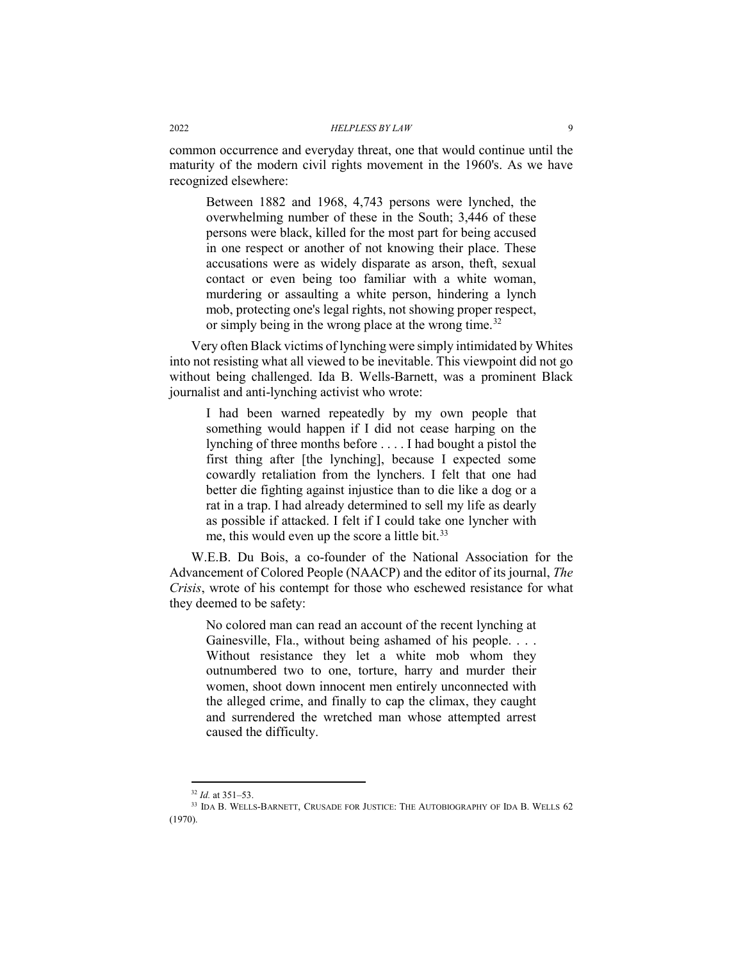common occurrence and everyday threat, one that would continue until the maturity of the modern civil rights movement in the 1960's. As we have recognized elsewhere:

Between 1882 and 1968, 4,743 persons were lynched, the overwhelming number of these in the South; 3,446 of these persons were black, killed for the most part for being accused in one respect or another of not knowing their place. These accusations were as widely disparate as arson, theft, sexual contact or even being too familiar with a white woman, murdering or assaulting a white person, hindering a lynch mob, protecting one's legal rights, not showing proper respect, or simply being in the wrong place at the wrong time.<sup>[32](#page-8-0)</sup>

Very often Black victims of lynching were simply intimidated by Whites into not resisting what all viewed to be inevitable. This viewpoint did not go without being challenged. Ida B. Wells-Barnett, was a prominent Black journalist and anti-lynching activist who wrote:

I had been warned repeatedly by my own people that something would happen if I did not cease harping on the lynching of three months before . . . . I had bought a pistol the first thing after [the lynching], because I expected some cowardly retaliation from the lynchers. I felt that one had better die fighting against injustice than to die like a dog or a rat in a trap. I had already determined to sell my life as dearly as possible if attacked. I felt if I could take one lyncher with me, this would even up the score a little bit.<sup>[33](#page-8-1)</sup>

W.E.B. Du Bois, a co-founder of the National Association for the Advancement of Colored People (NAACP) and the editor of its journal, *The Crisis*, wrote of his contempt for those who eschewed resistance for what they deemed to be safety:

No colored man can read an account of the recent lynching at Gainesville, Fla., without being ashamed of his people. . . . Without resistance they let a white mob whom they outnumbered two to one, torture, harry and murder their women, shoot down innocent men entirely unconnected with the alleged crime, and finally to cap the climax, they caught and surrendered the wretched man whose attempted arrest caused the difficulty.

 <sup>32</sup> *Id.* at 351–53.

<span id="page-8-1"></span><span id="page-8-0"></span><sup>33</sup> IDA B. WELLS-BARNETT, CRUSADE FOR JUSTICE: THE AUTOBIOGRAPHY OF IDA B. WELLS 62 (1970).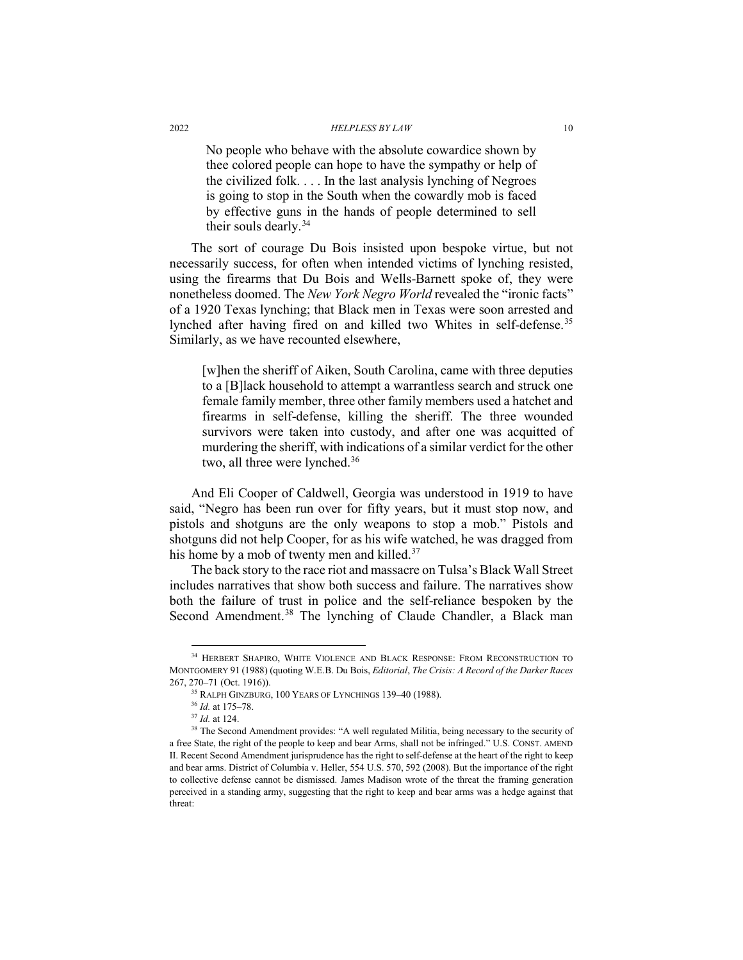No people who behave with the absolute cowardice shown by thee colored people can hope to have the sympathy or help of the civilized folk. . . . In the last analysis lynching of Negroes is going to stop in the South when the cowardly mob is faced by effective guns in the hands of people determined to sell their souls dearly.<sup>[34](#page-9-0)</sup>

The sort of courage Du Bois insisted upon bespoke virtue, but not necessarily success, for often when intended victims of lynching resisted, using the firearms that Du Bois and Wells-Barnett spoke of, they were nonetheless doomed. The *New York Negro World* revealed the "ironic facts" of a 1920 Texas lynching; that Black men in Texas were soon arrested and lynched after having fired on and killed two Whites in self-defense.<sup>[35](#page-9-1)</sup> Similarly, as we have recounted elsewhere,

[w]hen the sheriff of Aiken, South Carolina, came with three deputies to a [B]lack household to attempt a warrantless search and struck one female family member, three other family members used a hatchet and firearms in self-defense, killing the sheriff. The three wounded survivors were taken into custody, and after one was acquitted of murdering the sheriff, with indications of a similar verdict for the other two, all three were lynched.<sup>[36](#page-9-2)</sup>

And Eli Cooper of Caldwell, Georgia was understood in 1919 to have said, "Negro has been run over for fifty years, but it must stop now, and pistols and shotguns are the only weapons to stop a mob." Pistols and shotguns did not help Cooper, for as his wife watched, he was dragged from his home by a mob of twenty men and killed.<sup>37</sup>

The back story to the race riot and massacre on Tulsa's Black Wall Street includes narratives that show both success and failure. The narratives show both the failure of trust in police and the self-reliance bespoken by the Second Amendment.<sup>[38](#page-9-4)</sup> The lynching of Claude Chandler, a Black man

<span id="page-9-1"></span><span id="page-9-0"></span> <sup>34</sup> HERBERT SHAPIRO, WHITE VIOLENCE AND BLACK RESPONSE: FROM RECONSTRUCTION TO MONTGOMERY 91 (1988) (quoting W.E.B. Du Bois, *Editorial*, *The Crisis: A Record of the Darker Races* 267, 270–71 (Oct. 1916)).

<sup>35</sup> RALPH GINZBURG, 100 YEARS OF LYNCHINGS 139–40 (1988).

<sup>36</sup> *Id.* at 175–78.

<sup>37</sup> *Id.* at 124.

<span id="page-9-4"></span><span id="page-9-3"></span><span id="page-9-2"></span><sup>&</sup>lt;sup>38</sup> The Second Amendment provides: "A well regulated Militia, being necessary to the security of a free State, the right of the people to keep and bear Arms, shall not be infringed." U.S. CONST. AMEND II. Recent Second Amendment jurisprudence has the right to self-defense at the heart of the right to keep and bear arms. District of Columbia v. Heller, 554 U.S. 570, 592 (2008). But the importance of the right to collective defense cannot be dismissed. James Madison wrote of the threat the framing generation perceived in a standing army, suggesting that the right to keep and bear arms was a hedge against that threat: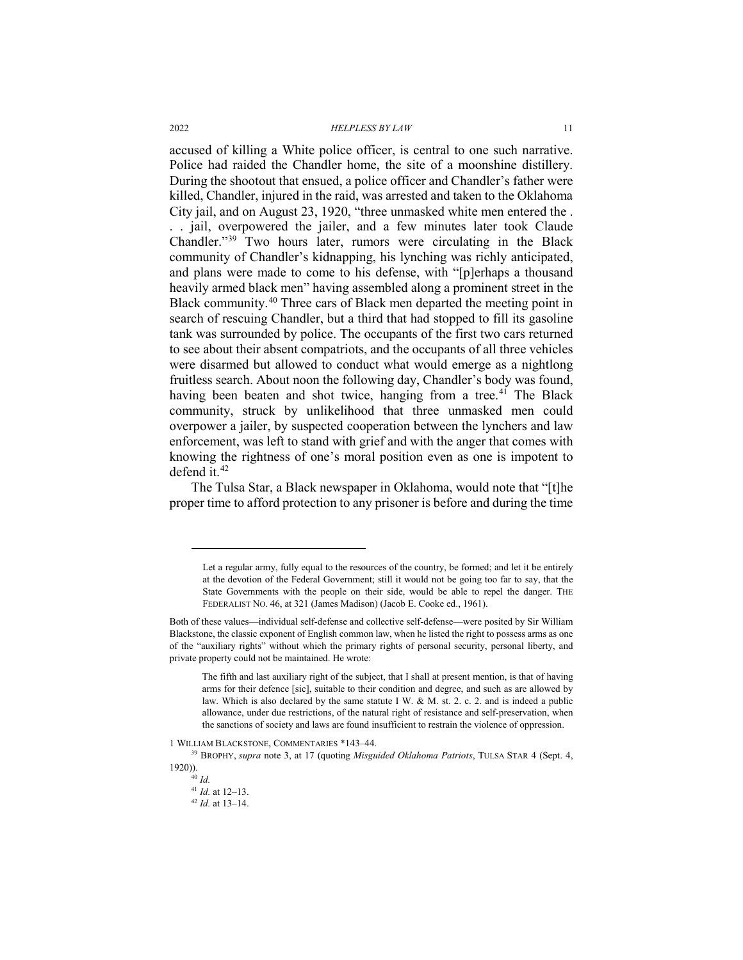accused of killing a White police officer, is central to one such narrative. Police had raided the Chandler home, the site of a moonshine distillery. During the shootout that ensued, a police officer and Chandler's father were killed, Chandler, injured in the raid, was arrested and taken to the Oklahoma City jail, and on August 23, 1920, "three unmasked white men entered the . . . jail, overpowered the jailer, and a few minutes later took Claude Chandler."[39](#page-10-0) Two hours later, rumors were circulating in the Black community of Chandler's kidnapping, his lynching was richly anticipated, and plans were made to come to his defense, with "[p]erhaps a thousand heavily armed black men" having assembled along a prominent street in the Black community.[40](#page-10-1) Three cars of Black men departed the meeting point in search of rescuing Chandler, but a third that had stopped to fill its gasoline tank was surrounded by police. The occupants of the first two cars returned to see about their absent compatriots, and the occupants of all three vehicles were disarmed but allowed to conduct what would emerge as a nightlong fruitless search. About noon the following day, Chandler's body was found, having been beaten and shot twice, hanging from a tree.<sup>41</sup> The Black community, struck by unlikelihood that three unmasked men could overpower a jailer, by suspected cooperation between the lynchers and law enforcement, was left to stand with grief and with the anger that comes with knowing the rightness of one's moral position even as one is impotent to defend it.<sup>[42](#page-10-3)</sup>

The Tulsa Star, a Black newspaper in Oklahoma, would note that "[t]he proper time to afford protection to any prisoner is before and during the time

 $\overline{a}$ 

Let a regular army, fully equal to the resources of the country, be formed; and let it be entirely at the devotion of the Federal Government; still it would not be going too far to say, that the State Governments with the people on their side, would be able to repel the danger. THE FEDERALIST NO. 46, at 321 (James Madison) (Jacob E. Cooke ed., 1961).

Both of these values—individual self-defense and collective self-defense—were posited by Sir William Blackstone, the classic exponent of English common law, when he listed the right to possess arms as one of the "auxiliary rights" without which the primary rights of personal security, personal liberty, and private property could not be maintained. He wrote:

The fifth and last auxiliary right of the subject, that I shall at present mention, is that of having arms for their defence [sic], suitable to their condition and degree, and such as are allowed by law. Which is also declared by the same statute I W. & M. st. 2. c. 2. and is indeed a public allowance, under due restrictions, of the natural right of resistance and self-preservation, when the sanctions of society and laws are found insufficient to restrain the violence of oppression.

<sup>1</sup> WILLIAM BLACKSTONE, COMMENTARIES \*143–44.

<span id="page-10-3"></span><span id="page-10-2"></span><span id="page-10-1"></span><span id="page-10-0"></span><sup>39</sup> BROPHY, *supra* note [3,](#page-3-6) at 17 (quoting *Misguided Oklahoma Patriots*, TULSA STAR 4 (Sept. 4, 1920)). <sup>40</sup> *Id.*

<sup>41</sup> *Id.* at 12–13.

<sup>42</sup> *Id.* at 13–14.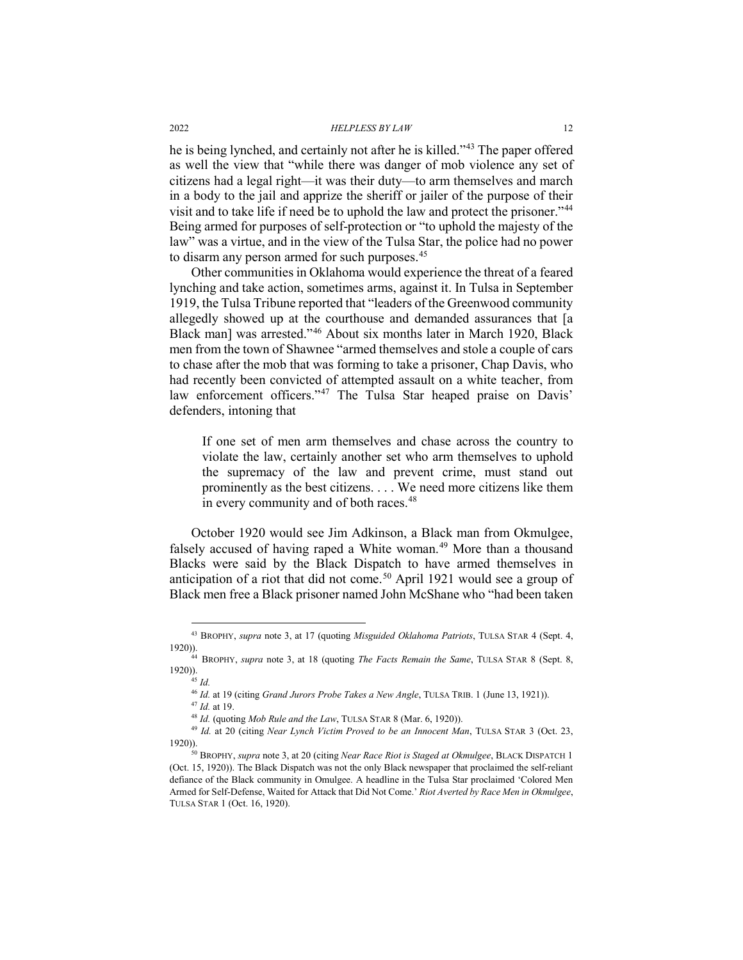he is being lynched, and certainly not after he is killed."[43](#page-11-0) The paper offered as well the view that "while there was danger of mob violence any set of citizens had a legal right—it was their duty—to arm themselves and march in a body to the jail and apprize the sheriff or jailer of the purpose of their visit and to take life if need be to uphold the law and protect the prisoner."[44](#page-11-1) Being armed for purposes of self-protection or "to uphold the majesty of the law" was a virtue, and in the view of the Tulsa Star, the police had no power to disarm any person armed for such purposes.<sup>45</sup>

Other communities in Oklahoma would experience the threat of a feared lynching and take action, sometimes arms, against it. In Tulsa in September 1919, the Tulsa Tribune reported that "leaders of the Greenwood community allegedly showed up at the courthouse and demanded assurances that [a Black man] was arrested."[46](#page-11-3) About six months later in March 1920, Black men from the town of Shawnee "armed themselves and stole a couple of cars to chase after the mob that was forming to take a prisoner, Chap Davis, who had recently been convicted of attempted assault on a white teacher, from law enforcement officers."<sup>[47](#page-11-4)</sup> The Tulsa Star heaped praise on Davis' defenders, intoning that

If one set of men arm themselves and chase across the country to violate the law, certainly another set who arm themselves to uphold the supremacy of the law and prevent crime, must stand out prominently as the best citizens. . . . We need more citizens like them in every community and of both races.<sup>[48](#page-11-5)</sup>

October 1920 would see Jim Adkinson, a Black man from Okmulgee, falsely accused of having raped a White woman.<sup>[49](#page-11-6)</sup> More than a thousand Blacks were said by the Black Dispatch to have armed themselves in anticipation of a riot that did not come.<sup>[50](#page-11-7)</sup> April 1921 would see a group of Black men free a Black prisoner named John McShane who "had been taken

<sup>47</sup> *Id.* at 19.

<span id="page-11-0"></span> <sup>43</sup> BROPHY, *supra* note [3,](#page-3-6) at 17 (quoting *Misguided Oklahoma Patriots*, TULSA STAR 4 (Sept. 4, 1920)).

<span id="page-11-2"></span><span id="page-11-1"></span><sup>44</sup> BROPHY, *supra* note [3,](#page-3-6) at 18 (quoting *The Facts Remain the Same*, TULSA STAR 8 (Sept. 8, 1920)).

<sup>45</sup> *Id.*

<sup>46</sup> *Id.* at 19 (citing *Grand Jurors Probe Takes a New Angle*, TULSA TRIB. 1 (June 13, 1921)).

<sup>48</sup> *Id.* (quoting *Mob Rule and the Law*, TULSA STAR 8 (Mar. 6, 1920)).

<span id="page-11-6"></span><span id="page-11-5"></span><span id="page-11-4"></span><span id="page-11-3"></span><sup>49</sup> *Id.* at 20 (citing *Near Lynch Victim Proved to be an Innocent Man*, TULSA STAR 3 (Oct. 23, 1920)).

<span id="page-11-7"></span><sup>50</sup> BROPHY, *supra* not[e 3,](#page-3-6) at 20 (citing *Near Race Riot is Staged at Okmulgee*, BLACK DISPATCH 1 (Oct. 15, 1920)). The Black Dispatch was not the only Black newspaper that proclaimed the self-reliant defiance of the Black community in Omulgee. A headline in the Tulsa Star proclaimed 'Colored Men Armed for Self-Defense, Waited for Attack that Did Not Come.' *Riot Averted by Race Men in Okmulgee*, TULSA STAR 1 (Oct. 16, 1920).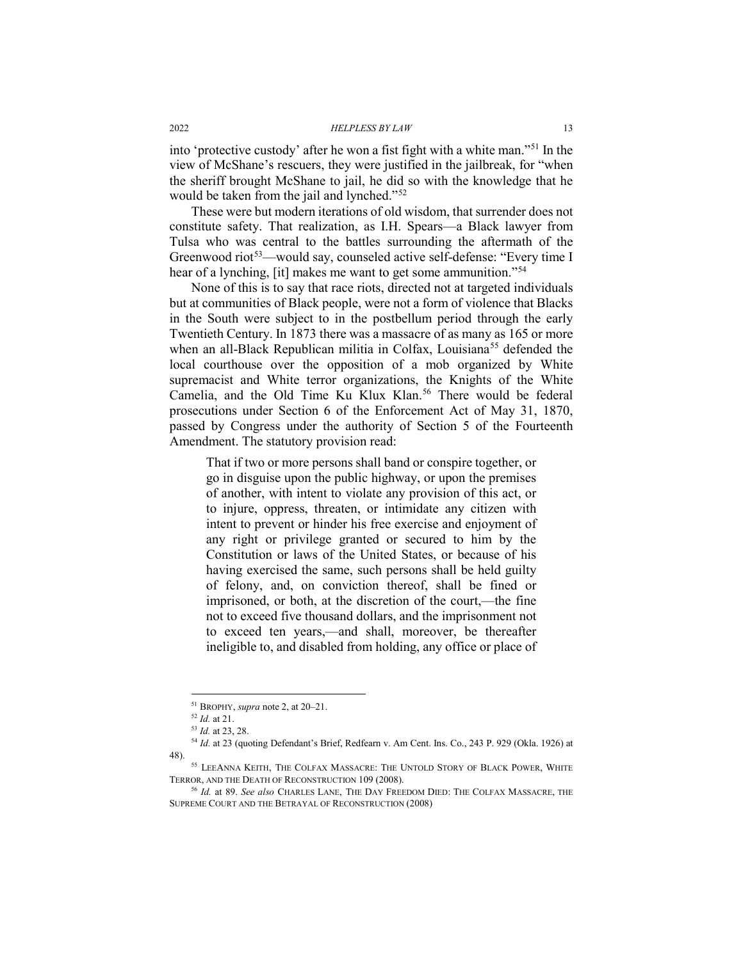into 'protective custody' after he won a fist fight with a white man."[51](#page-12-0) In the view of McShane's rescuers, they were justified in the jailbreak, for "when the sheriff brought McShane to jail, he did so with the knowledge that he would be taken from the jail and lynched."<sup>[52](#page-12-1)</sup>

These were but modern iterations of old wisdom, that surrender does not constitute safety. That realization, as I.H. Spears—a Black lawyer from Tulsa who was central to the battles surrounding the aftermath of the Greenwood riot<sup>[53](#page-12-2)</sup>—would say, counseled active self-defense: "Every time I hear of a lynching, [it] makes me want to get some ammunition."<sup>[54](#page-12-3)</sup>

None of this is to say that race riots, directed not at targeted individuals but at communities of Black people, were not a form of violence that Blacks in the South were subject to in the postbellum period through the early Twentieth Century. In 1873 there was a massacre of as many as 165 or more when an all-Black Republican militia in Colfax, Louisiana<sup>[55](#page-12-4)</sup> defended the local courthouse over the opposition of a mob organized by White supremacist and White terror organizations, the Knights of the White Camelia, and the Old Time Ku Klux Klan.<sup>56</sup> There would be federal prosecutions under Section 6 of the Enforcement Act of May 31, 1870, passed by Congress under the authority of Section 5 of the Fourteenth Amendment. The statutory provision read:

That if two or more persons shall band or conspire together, or go in disguise upon the public highway, or upon the premises of another, with intent to violate any provision of this act, or to injure, oppress, threaten, or intimidate any citizen with intent to prevent or hinder his free exercise and enjoyment of any right or privilege granted or secured to him by the Constitution or laws of the United States, or because of his having exercised the same, such persons shall be held guilty of felony, and, on conviction thereof, shall be fined or imprisoned, or both, at the discretion of the court,—the fine not to exceed five thousand dollars, and the imprisonment not to exceed ten years,—and shall, moreover, be thereafter ineligible to, and disabled from holding, any office or place of

 <sup>51</sup> BROPHY, *supra* note 2, at 20–21.

<sup>52</sup> *Id.* at 21.

<sup>53</sup> *Id.* at 23, 28.

<span id="page-12-3"></span><span id="page-12-2"></span><span id="page-12-1"></span><span id="page-12-0"></span><sup>&</sup>lt;sup>54</sup> Id. at 23 (quoting Defendant's Brief, Redfearn v. Am Cent. Ins. Co., 243 P. 929 (Okla. 1926) at 48).

<span id="page-12-4"></span><sup>55</sup> LEEANNA KEITH, THE COLFAX MASSACRE: THE UNTOLD STORY OF BLACK POWER, WHITE TERROR, AND THE DEATH OF RECONSTRUCTION 109 (2008).

<span id="page-12-5"></span><sup>56</sup> *Id.* at 89. *See also* CHARLES LANE, THE DAY FREEDOM DIED: THE COLFAX MASSACRE, THE SUPREME COURT AND THE BETRAYAL OF RECONSTRUCTION (2008)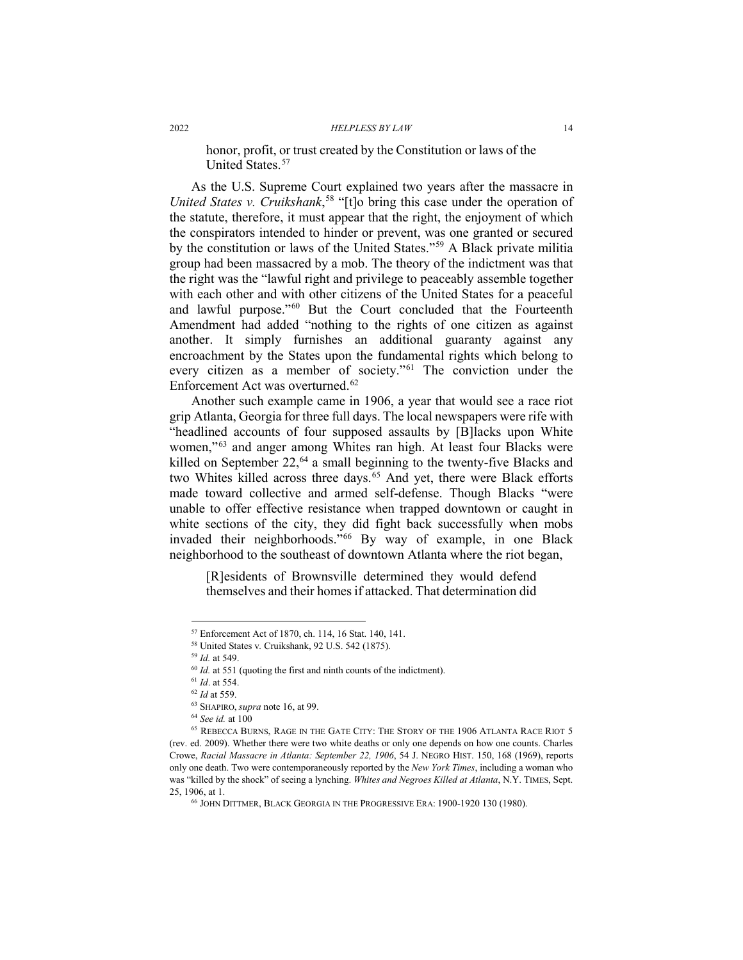honor, profit, or trust created by the Constitution or laws of the United States.<sup>[57](#page-13-0)</sup>

As the U.S. Supreme Court explained two years after the massacre in *United States v. Cruikshank*, [58](#page-13-1) "[t]o bring this case under the operation of the statute, therefore, it must appear that the right, the enjoyment of which the conspirators intended to hinder or prevent, was one granted or secured by the constitution or laws of the United States."[59](#page-13-2) A Black private militia group had been massacred by a mob. The theory of the indictment was that the right was the "lawful right and privilege to peaceably assemble together with each other and with other citizens of the United States for a peaceful and lawful purpose."[60](#page-13-3) But the Court concluded that the Fourteenth Amendment had added "nothing to the rights of one citizen as against another. It simply furnishes an additional guaranty against any encroachment by the States upon the fundamental rights which belong to every citizen as a member of society."[61](#page-13-4) The conviction under the Enforcement Act was overturned.<sup>[62](#page-13-5)</sup>

Another such example came in 1906, a year that would see a race riot grip Atlanta, Georgia for three full days. The local newspapers were rife with "headlined accounts of four supposed assaults by [B]lacks upon White women,"[63](#page-13-6) and anger among Whites ran high. At least four Blacks were killed on September  $22,^{64}$  $22,^{64}$  $22,^{64}$  a small beginning to the twenty-five Blacks and two Whites killed across three days.<sup>[65](#page-13-8)</sup> And yet, there were Black efforts made toward collective and armed self-defense. Though Blacks "were unable to offer effective resistance when trapped downtown or caught in white sections of the city, they did fight back successfully when mobs invaded their neighborhoods."[66](#page-13-9) By way of example, in one Black neighborhood to the southeast of downtown Atlanta where the riot began,

[R]esidents of Brownsville determined they would defend themselves and their homes if attacked. That determination did

<span id="page-13-0"></span> <sup>57</sup> Enforcement Act of 1870, ch. 114, 16 Stat. 140, 141.

<sup>58</sup> United States v*.* Cruikshank, 92 U.S. 542 (1875).

<sup>59</sup> *Id.* at 549.

<sup>&</sup>lt;sup>60</sup> *Id.* at 551 (quoting the first and ninth counts of the indictment).

<sup>61</sup> *Id*. at 554.

<sup>62</sup> *Id* at 559.

<sup>63</sup> SHAPIRO, *supra* note [16,](#page-5-5) at 99. 64 *See id.* at 100

<span id="page-13-9"></span><span id="page-13-8"></span><span id="page-13-7"></span><span id="page-13-6"></span><span id="page-13-5"></span><span id="page-13-4"></span><span id="page-13-3"></span><span id="page-13-2"></span><span id="page-13-1"></span> $^{65}$  REBECCA BURNS, RAGE IN THE GATE CITY: THE STORY OF THE 1906 ATLANTA RACE RIOT 5 (rev. ed. 2009). Whether there were two white deaths or only one depends on how one counts. Charles Crowe, *Racial Massacre in Atlanta: September 22, 1906*, 54 J. NEGRO HIST. 150, 168 (1969), reports only one death. Two were contemporaneously reported by the *New York Times*, including a woman who was "killed by the shock" of seeing a lynching. *Whites and Negroes Killed at Atlanta*, N.Y. TIMES, Sept. 25, 1906, at 1.

<sup>66</sup> JOHN DITTMER, BLACK GEORGIA IN THE PROGRESSIVE ERA: 1900-1920 130 (1980).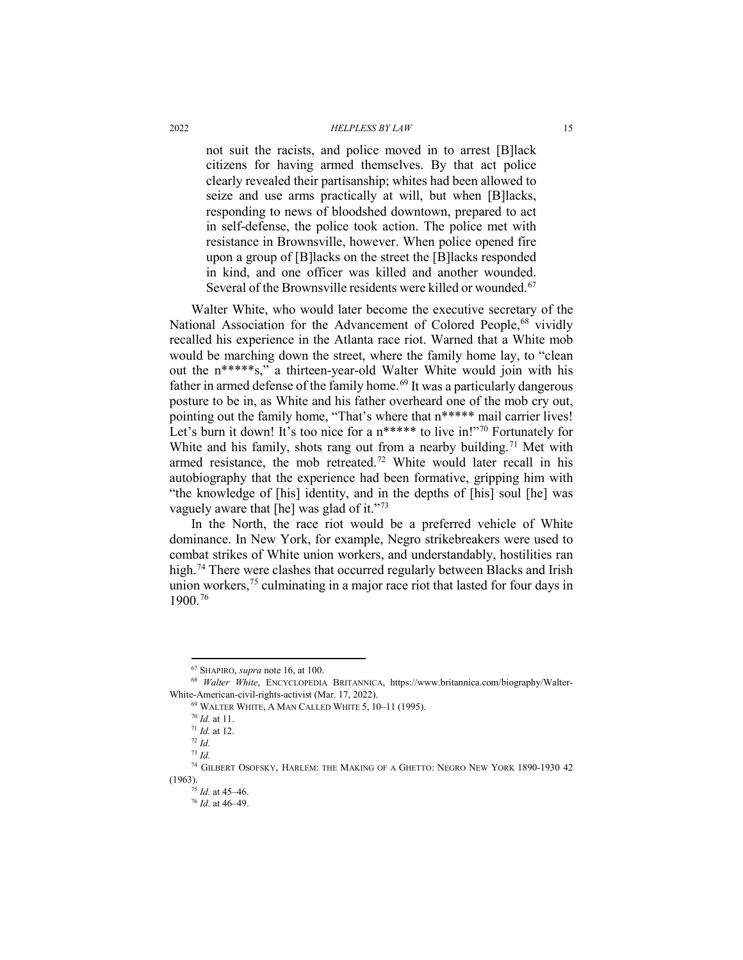not suit the racists, and police moved in to arrest [B]lack citizens for having armed themselves. By that act police clearly revealed their partisanship; whites had been allowed to seize and use arms practically at will, but when [B]lacks, responding to news of bloodshed downtown, prepared to act in self-defense, the police took action. The police met with resistance in Brownsville, however. When police opened fire upon a group of [B]lacks on the street the [B]lacks responded in kind, and one officer was killed and another wounded. Several of the Brownsville residents were killed or wounded.<sup>[67](#page-14-0)</sup>

Walter White, who would later become the executive secretary of the National Association for the Advancement of Colored People,<sup>[68](#page-14-1)</sup> vividly recalled his experience in the Atlanta race riot. Warned that a White mob would be marching down the street, where the family home lay, to "clean out the n\*\*\*\*\*s," a thirteen-year-old Walter White would join with his father in armed defense of the family home.<sup>[69](#page-14-2)</sup> It was a particularly dangerous posture to be in, as White and his father overheard one of the mob cry out, pointing out the family home, "That's where that n\*\*\*\*\* mail carrier lives! Let's burn it down! It's too nice for a n\*\*\*\*\* to live in!"<sup>[70](#page-14-3)</sup> Fortunately for White and his family, shots rang out from a nearby building.<sup>[71](#page-14-4)</sup> Met with armed resistance, the mob retreated.<sup>[72](#page-14-5)</sup> White would later recall in his autobiography that the experience had been formative, gripping him with "the knowledge of [his] identity, and in the depths of [his] soul [he] was vaguely aware that [he] was glad of it."<sup>[73](#page-14-6)</sup>

In the North, the race riot would be a preferred vehicle of White dominance. In New York, for example, Negro strikebreakers were used to combat strikes of White union workers, and understandably, hostilities ran high.<sup>74</sup> There were clashes that occurred regularly between Blacks and Irish union workers,<sup>[75](#page-14-8)</sup> culminating in a major race riot that lasted for four days in 1900.[76](#page-14-9)

 <sup>67</sup> SHAPIRO, *supra* not[e 16,](#page-5-5) at 100.

<span id="page-14-3"></span><span id="page-14-2"></span><span id="page-14-1"></span><span id="page-14-0"></span><sup>68</sup> *Walter White*, ENCYCLOPEDIA BRITANNICA, https://www.britannica.com/biography/Walter-White-American-civil-rights-activist (Mar. 17, 2022).

<sup>69</sup> WALTER WHITE, A MAN CALLED WHITE 5, 10–11 (1995).

<sup>70</sup> *Id.* at 11.

<sup>71</sup> *Id.* at 12.

<sup>72</sup> *Id.*

<sup>73</sup> *Id.*

<span id="page-14-9"></span><span id="page-14-8"></span><span id="page-14-7"></span><span id="page-14-6"></span><span id="page-14-5"></span><span id="page-14-4"></span><sup>74</sup> GILBERT OSOFSKY, HARLEM: THE MAKING OF A GHETTO: NEGRO NEW YORK 1890-1930 42 (1963).

<sup>75</sup> *Id.* at 45–46.

<sup>76</sup> *Id.* at 46–49.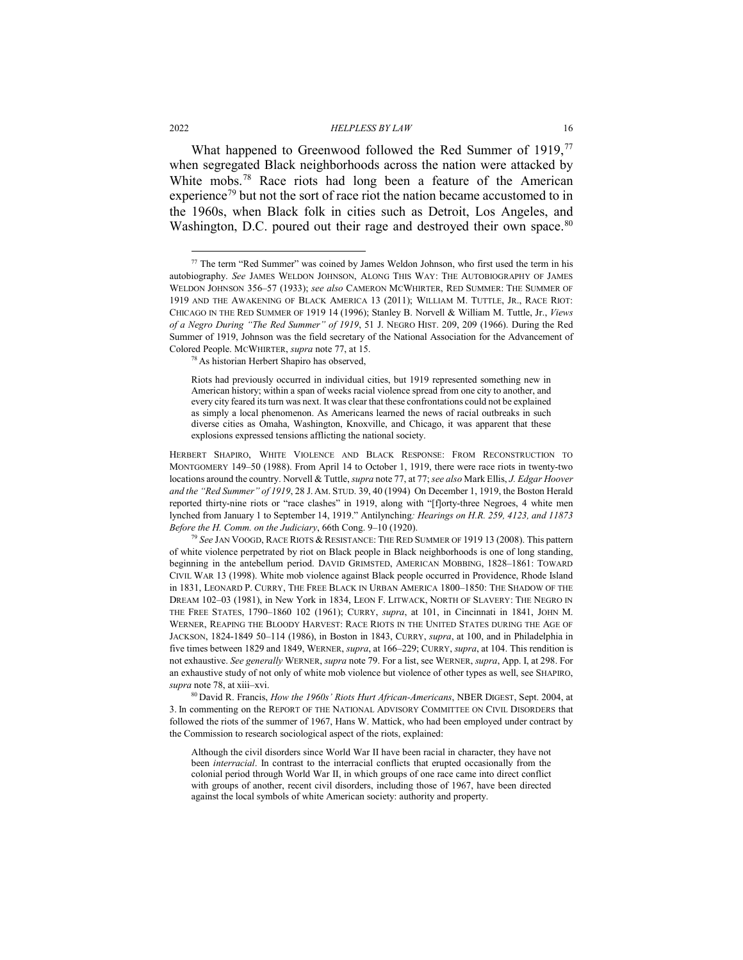<span id="page-15-2"></span><span id="page-15-1"></span>What happened to Greenwood followed the Red Summer of 1919,<sup>[77](#page-15-3)</sup> when segregated Black neighborhoods across the nation were attacked by White mobs.<sup>[78](#page-15-4)</sup> Race riots had long been a feature of the American experience<sup>[79](#page-15-5)</sup> but not the sort of race riot the nation became accustomed to in the 1960s, when Black folk in cities such as Detroit, Los Angeles, and Washington, D.C. poured out their rage and destroyed their own space.<sup>[80](#page-15-6)</sup>

<span id="page-15-0"></span>

<span id="page-15-3"></span><sup>&</sup>lt;sup>77</sup> The term "Red Summer" was coined by James Weldon Johnson, who first used the term in his autobiography. *See* JAMES WELDON JOHNSON, ALONG THIS WAY: THE AUTOBIOGRAPHY OF JAMES WELDON JOHNSON 356–57 (1933); *see also* CAMERON MCWHIRTER, RED SUMMER: THE SUMMER OF 1919 AND THE AWAKENING OF BLACK AMERICA 13 (2011); WILLIAM M. TUTTLE, JR., RACE RIOT: CHICAGO IN THE RED SUMMER OF 1919 14 (1996); Stanley B. Norvell & William M. Tuttle, Jr., *Views of a Negro During "The Red Summer" of 1919*, 51 J. NEGRO HIST. 209, 209 (1966). During the Red Summer of 1919, Johnson was the field secretary of the National Association for the Advancement of Colored People. MCWHIRTER, *supra* not[e 77,](#page-15-0) at 15. 78 As historian Herbert Shapiro has observed,

<span id="page-15-4"></span>

Riots had previously occurred in individual cities, but 1919 represented something new in American history; within a span of weeks racial violence spread from one city to another, and every city feared its turn was next. It was clear that these confrontations could not be explained as simply a local phenomenon. As Americans learned the news of racial outbreaks in such diverse cities as Omaha, Washington, Knoxville, and Chicago, it was apparent that these explosions expressed tensions afflicting the national society.

HERBERT SHAPIRO, WHITE VIOLENCE AND BLACK RESPONSE: FROM RECONSTRUCTION TO MONTGOMERY 149–50 (1988). From April 14 to October 1, 1919, there were race riots in twenty-two locations around the country. Norvell & Tuttle, *supra* not[e 77,](#page-15-0) a[t 77;](#page-15-0) *see also* Mark Ellis, *J. Edgar Hoover and the "Red Summer" of 1919*, 28 J. AM. STUD. 39, 40 (1994) On December 1, 1919, the Boston Herald reported thirty-nine riots or "race clashes" in 1919, along with "[f]orty-three Negroes, 4 white men lynched from January 1 to September 14, 1919." Antilynching*: Hearings on H.R. 259, 4123, and 11873 Before the H. Comm. on the Judiciary*, 66th Cong. 9–10 (1920).

<span id="page-15-5"></span><sup>79</sup> *See* JAN VOOGD, RACE RIOTS & RESISTANCE: THE RED SUMMER OF 1919 13 (2008). This pattern of white violence perpetrated by riot on Black people in Black neighborhoods is one of long standing, beginning in the antebellum period. DAVID GRIMSTED, AMERICAN MOBBING, 1828–1861: TOWARD CIVIL WAR 13 (1998). White mob violence against Black people occurred in Providence, Rhode Island in 1831, LEONARD P. CURRY, THE FREE BLACK IN URBAN AMERICA 1800–1850: THE SHADOW OF THE DREAM 102–03 (1981), in New York in 1834, LEON F. LITWACK, NORTH OF SLAVERY: THE NEGRO IN THE FREE STATES, 1790–1860 102 (1961); CURRY, *supra*, at 101, in Cincinnati in 1841, JOHN M. WERNER, REAPING THE BLOODY HARVEST: RACE RIOTS IN THE UNITED STATES DURING THE AGE OF JACKSON, 1824-1849 50–114 (1986), in Boston in 1843, CURRY, *supra*, at 100, and in Philadelphia in five times between 1829 and 1849, WERNER, *supra*, at 166–229; CURRY, *supra*, at 104. This rendition is not exhaustive. *See generally* WERNER, *supra* not[e 79.](#page-15-1) For a list, see WERNER, *supra*, App. I, at 298. For an exhaustive study of not only of white mob violence but violence of other types as well, see SHAPIRO, *supra* note 78, at xiii–xvi. 80 David R. Francis, *How the 1960s' Riots Hurt African-Americans*, NBER DIGEST, Sept. 2004, at

<span id="page-15-6"></span><sup>3.</sup> In commenting on the REPORT OF THE NATIONAL ADVISORY COMMITTEE ON CIVIL DISORDERS that followed the riots of the summer of 1967, Hans W. Mattick, who had been employed under contract by the Commission to research sociological aspect of the riots, explained:

Although the civil disorders since World War II have been racial in character, they have not been *interracial*. In contrast to the interracial conflicts that erupted occasionally from the colonial period through World War II, in which groups of one race came into direct conflict with groups of another, recent civil disorders, including those of 1967, have been directed against the local symbols of white American society: authority and property.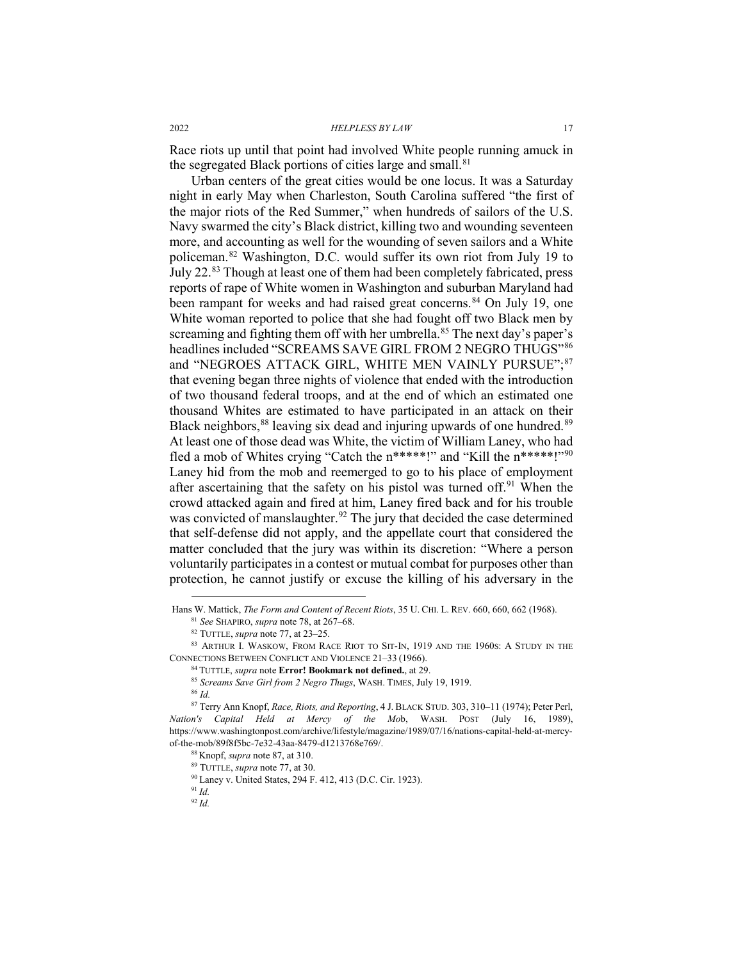Race riots up until that point had involved White people running amuck in the segregated Black portions of cities large and small.<sup>[81](#page-16-1)</sup>

<span id="page-16-13"></span><span id="page-16-0"></span>Urban centers of the great cities would be one locus. It was a Saturday night in early May when Charleston, South Carolina suffered "the first of the major riots of the Red Summer," when hundreds of sailors of the U.S. Navy swarmed the city's Black district, killing two and wounding seventeen more, and accounting as well for the wounding of seven sailors and a White policeman.[82](#page-16-2) Washington, D.C. would suffer its own riot from July 19 to July 22.[83](#page-16-3) Though at least one of them had been completely fabricated, press reports of rape of White women in Washington and suburban Maryland had been rampant for weeks and had raised great concerns.<sup>[84](#page-16-4)</sup> On July 19, one White woman reported to police that she had fought off two Black men by screaming and fighting them off with her umbrella.<sup>[85](#page-16-5)</sup> The next day's paper's headlines included "SCREAMS SAVE GIRL FROM 2 NEGRO THUGS"<sup>[86](#page-16-6)</sup> and "NEGROES ATTACK GIRL, WHITE MEN VAINLY PURSUE";[87](#page-16-7) that evening began three nights of violence that ended with the introduction of two thousand federal troops, and at the end of which an estimated one thousand Whites are estimated to have participated in an attack on their Black neighbors,  $88$  leaving six dead and injuring upwards of one hundred.  $89$ At least one of those dead was White, the victim of William Laney, who had fled a mob of Whites crying "Catch the n\*\*\*\*\*!" and "Kill the n\*\*\*\*\*!"[90](#page-16-10) Laney hid from the mob and reemerged to go to his place of employment after ascertaining that the safety on his pistol was turned off.<sup>[91](#page-16-11)</sup> When the crowd attacked again and fired at him, Laney fired back and for his trouble was convicted of manslaughter.<sup>[92](#page-16-12)</sup> The jury that decided the case determined that self-defense did not apply, and the appellate court that considered the matter concluded that the jury was within its discretion: "Where a person voluntarily participates in a contest or mutual combat for purposes other than protection, he cannot justify or excuse the killing of his adversary in the

Hans W. Mattick, *The Form and Content of Recent Riots*, 35 U. CHI. L. REV. 660, 660, 662 (1968). <sup>81</sup> *See* SHAPIRO, *supra* note [78,](#page-15-2) at 267–68. <sup>82</sup> TUTTLE, *supra* note [77,](#page-15-0) at 23–25.

<span id="page-16-4"></span><span id="page-16-3"></span><span id="page-16-2"></span><span id="page-16-1"></span><sup>83</sup> ARTHUR I. WASKOW, FROM RACE RIOT TO SIT-IN, 1919 AND THE 1960S: A STUDY IN THE CONNECTIONS BETWEEN CONFLICT AND VIOLENCE 21–33 (1966).

<sup>84</sup> TUTTLE, *supra* note **Error! Bookmark not defined.**, at 29.

<sup>85</sup> *Screams Save Girl from 2 Negro Thugs*, WASH. TIMES, July 19, 1919.

<sup>86</sup> *Id.*

<span id="page-16-10"></span><span id="page-16-9"></span><span id="page-16-8"></span><span id="page-16-7"></span><span id="page-16-6"></span><span id="page-16-5"></span><sup>87</sup> Terry Ann Knopf, *Race, Riots, and Reporting*, 4 J. BLACK STUD. 303, 310–11 (1974); Peter Perl, *Nation's Capital Held at Mercy of the Mo*b, WASH. POST (July 16, 1989), https://www.washingtonpost.com/archive/lifestyle/magazine/1989/07/16/nations-capital-held-at-mercyof-the-mob/89f8f5bc-7e32-43aa-8479-d1213768e769/.

<sup>88</sup> Knopf, *supra* not[e 87,](#page-16-0) at 310.

<sup>89</sup> TUTTLE, *supra* not[e 77,](#page-15-0) at 30.

<sup>90</sup> Laney v. United States, 294 F. 412, 413 (D.C. Cir. 1923).

<span id="page-16-12"></span><span id="page-16-11"></span><sup>91</sup> *Id.*

<sup>92</sup> *Id.*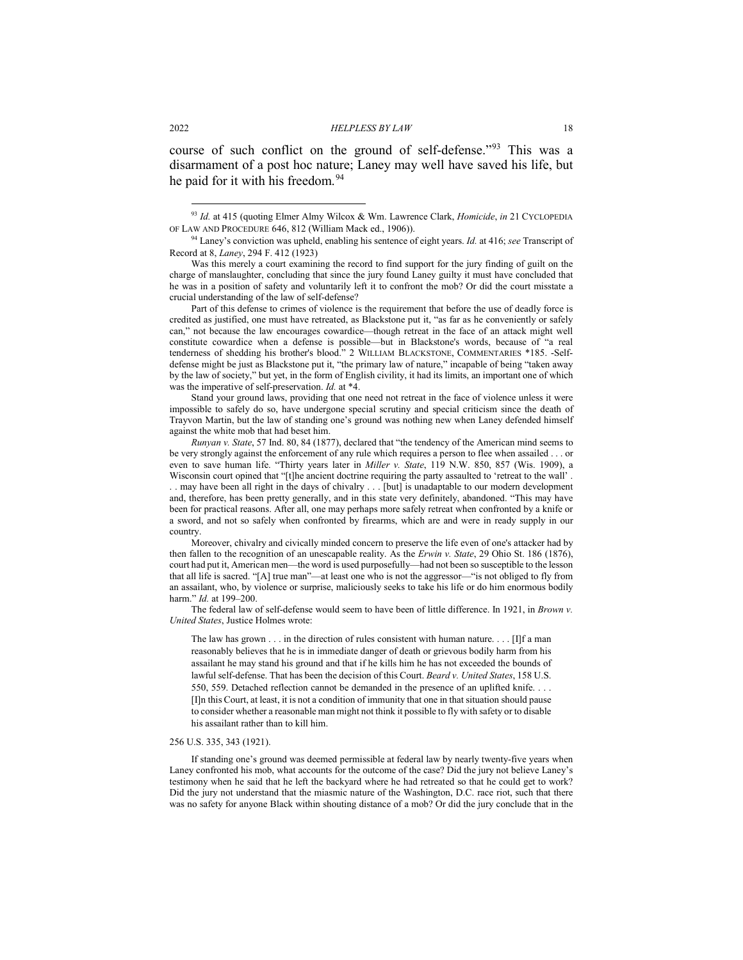course of such conflict on the ground of self-defense."[93](#page-17-0) This was a disarmament of a post hoc nature; Laney may well have saved his life, but he paid for it with his freedom.<sup>[94](#page-17-1)</sup>

Part of this defense to crimes of violence is the requirement that before the use of deadly force is credited as justified, one must have retreated, as Blackstone put it, "as far as he conveniently or safely can," not because the law encourages cowardice—though retreat in the face of an attack might well constitute cowardice when a defense is possible—but in Blackstone's words, because of "a real tenderness of shedding his brother's blood." 2 WILLIAM BLACKSTONE, COMMENTARIES \*185. -Selfdefense might be just as Blackstone put it, "the primary law of nature," incapable of being "taken away by the law of society," but yet, in the form of English civility, it had its limits, an important one of which was the imperative of self-preservation. *Id.* at \*4.

Stand your ground laws, providing that one need not retreat in the face of violence unless it were impossible to safely do so, have undergone special scrutiny and special criticism since the death of Trayvon Martin, but the law of standing one's ground was nothing new when Laney defended himself against the white mob that had beset him.

*Runyan v. State*, 57 Ind. 80, 84 (1877), declared that "the tendency of the American mind seems to be very strongly against the enforcement of any rule which requires a person to flee when assailed . . . or even to save human life. "Thirty years later in *Miller v. State*, 119 N.W. 850, 857 (Wis. 1909), a Wisconsin court opined that "[t]he ancient doctrine requiring the party assaulted to 'retreat to the wall' . . . may have been all right in the days of chivalry . . . [but] is unadaptable to our modern development and, therefore, has been pretty generally, and in this state very definitely, abandoned. "This may have been for practical reasons. After all, one may perhaps more safely retreat when confronted by a knife or a sword, and not so safely when confronted by firearms, which are and were in ready supply in our country.

Moreover, chivalry and civically minded concern to preserve the life even of one's attacker had by then fallen to the recognition of an unescapable reality. As the *Erwin v. State*, 29 Ohio St. 186 (1876), court had put it, American men—the word is used purposefully—had not been so susceptible to the lesson that all life is sacred. "[A] true man"—at least one who is not the aggressor—"is not obliged to fly from an assailant, who, by violence or surprise, maliciously seeks to take his life or do him enormous bodily harm." *Id.* at 199–200.

The federal law of self-defense would seem to have been of little difference. In 1921, in *Brown v. United States*, Justice Holmes wrote:

The law has grown . . . in the direction of rules consistent with human nature. . . . [I]f a man reasonably believes that he is in immediate danger of death or grievous bodily harm from his assailant he may stand his ground and that if he kills him he has not exceeded the bounds of lawful self-defense. That has been the decision of this Court. *Beard v. United States*, 158 U.S. 550, 559. Detached reflection cannot be demanded in the presence of an uplifted knife. . . . [I]n this Court, at least, it is not a condition of immunity that one in that situation should pause to consider whether a reasonable man might not think it possible to fly with safety or to disable his assailant rather than to kill him.

#### 256 U.S. 335, 343 (1921).

If standing one's ground was deemed permissible at federal law by nearly twenty-five years when Laney confronted his mob, what accounts for the outcome of the case? Did the jury not believe Laney's testimony when he said that he left the backyard where he had retreated so that he could get to work? Did the jury not understand that the miasmic nature of the Washington, D.C. race riot, such that there was no safety for anyone Black within shouting distance of a mob? Or did the jury conclude that in the

<span id="page-17-0"></span> <sup>93</sup> *Id.* at 415 (quoting Elmer Almy Wilcox & Wm. Lawrence Clark, *Homicide*, *in* <sup>21</sup> CYCLOPEDIA OF LAW AND PROCEDURE 646, 812 (William Mack ed., 1906)).

<span id="page-17-1"></span><sup>94</sup> Laney's conviction was upheld, enabling his sentence of eight years. *Id.* at 416; *see* Transcript of Record at 8, *Laney*, 294 F. 412 (1923)

Was this merely a court examining the record to find support for the jury finding of guilt on the charge of manslaughter, concluding that since the jury found Laney guilty it must have concluded that he was in a position of safety and voluntarily left it to confront the mob? Or did the court misstate a crucial understanding of the law of self-defense?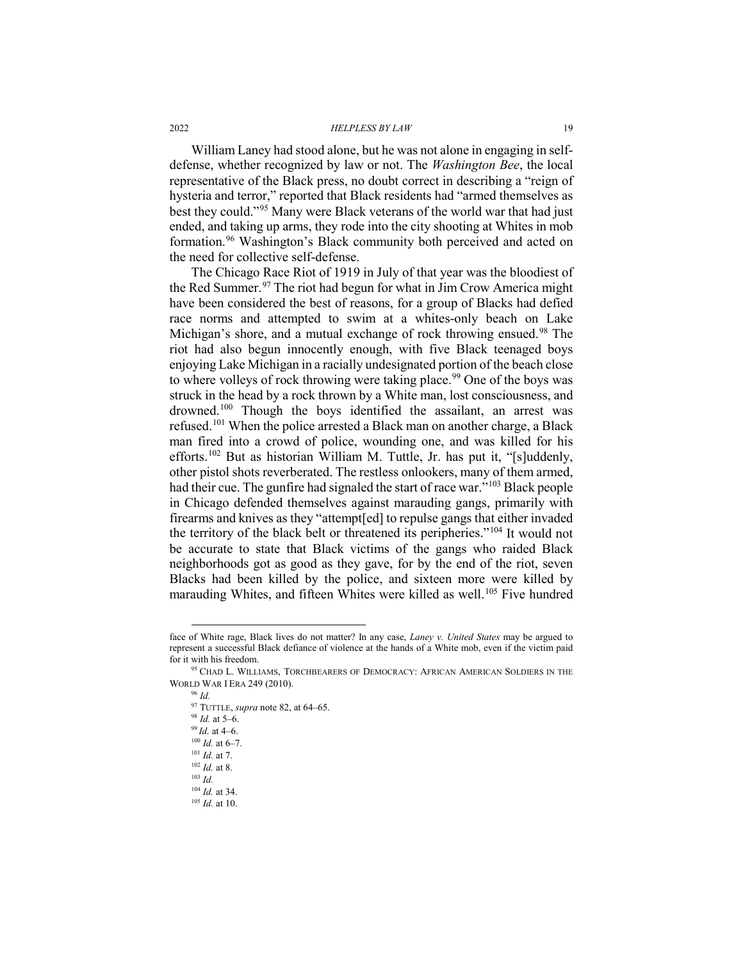William Laney had stood alone, but he was not alone in engaging in selfdefense, whether recognized by law or not. The *Washington Bee*, the local representative of the Black press, no doubt correct in describing a "reign of hysteria and terror," reported that Black residents had "armed themselves as best they could."[95](#page-18-0) Many were Black veterans of the world war that had just ended, and taking up arms, they rode into the city shooting at Whites in mob formation.[96](#page-18-1) Washington's Black community both perceived and acted on the need for collective self-defense.

The Chicago Race Riot of 1919 in July of that year was the bloodiest of the Red Summer.<sup>[97](#page-18-2)</sup> The riot had begun for what in Jim Crow America might have been considered the best of reasons, for a group of Blacks had defied race norms and attempted to swim at a whites-only beach on Lake Michigan's shore, and a mutual exchange of rock throwing ensued.<sup>[98](#page-18-3)</sup> The riot had also begun innocently enough, with five Black teenaged boys enjoying Lake Michigan in a racially undesignated portion of the beach close to where volleys of rock throwing were taking place.<sup>[99](#page-18-4)</sup> One of the boys was struck in the head by a rock thrown by a White man, lost consciousness, and drowned.<sup>100</sup> Though the boys identified the assailant, an arrest was refused.[101](#page-18-6) When the police arrested a Black man on another charge, a Black man fired into a crowd of police, wounding one, and was killed for his efforts.[102](#page-18-7) But as historian William M. Tuttle, Jr. has put it, "[s]uddenly, other pistol shots reverberated. The restless onlookers, many of them armed, had their cue. The gunfire had signaled the start of race war."[103](#page-18-8) Black people in Chicago defended themselves against marauding gangs, primarily with firearms and knives as they "attempt[ed] to repulse gangs that either invaded the territory of the black belt or threatened its peripheries."[104](#page-18-9) It would not be accurate to state that Black victims of the gangs who raided Black neighborhoods got as good as they gave, for by the end of the riot, seven Blacks had been killed by the police, and sixteen more were killed by marauding Whites, and fifteen Whites were killed as well.<sup>[105](#page-18-10)</sup> Five hundred

face of White rage, Black lives do not matter? In any case, *Laney v. United States* may be argued to represent a successful Black defiance of violence at the hands of a White mob, even if the victim paid for it with his freedom.

<span id="page-18-6"></span><span id="page-18-5"></span><span id="page-18-4"></span><span id="page-18-3"></span><span id="page-18-2"></span><span id="page-18-1"></span><span id="page-18-0"></span><sup>&</sup>lt;sup>95</sup> CHAD L. WILLIAMS, TORCHBEARERS OF DEMOCRACY: AFRICAN AMERICAN SOLDIERS IN THE WORLD WAR I ERA 249 (2010).

<sup>96</sup> *Id.* <sup>97</sup> TUTTLE, *supra* not[e 82,](#page-16-13) at 64–65. <sup>98</sup> *Id.* at 5–6. 99 *Id.* at 4–6. <sup>100</sup> *Id.* at 6–7. <sup>101</sup> *Id.* at 7. <sup>102</sup> *Id.* at 8. <sup>103</sup> *Id.*

<span id="page-18-9"></span><span id="page-18-8"></span><span id="page-18-7"></span><sup>104</sup> *Id.* at 34.

<span id="page-18-10"></span><sup>105</sup> *Id.* at 10.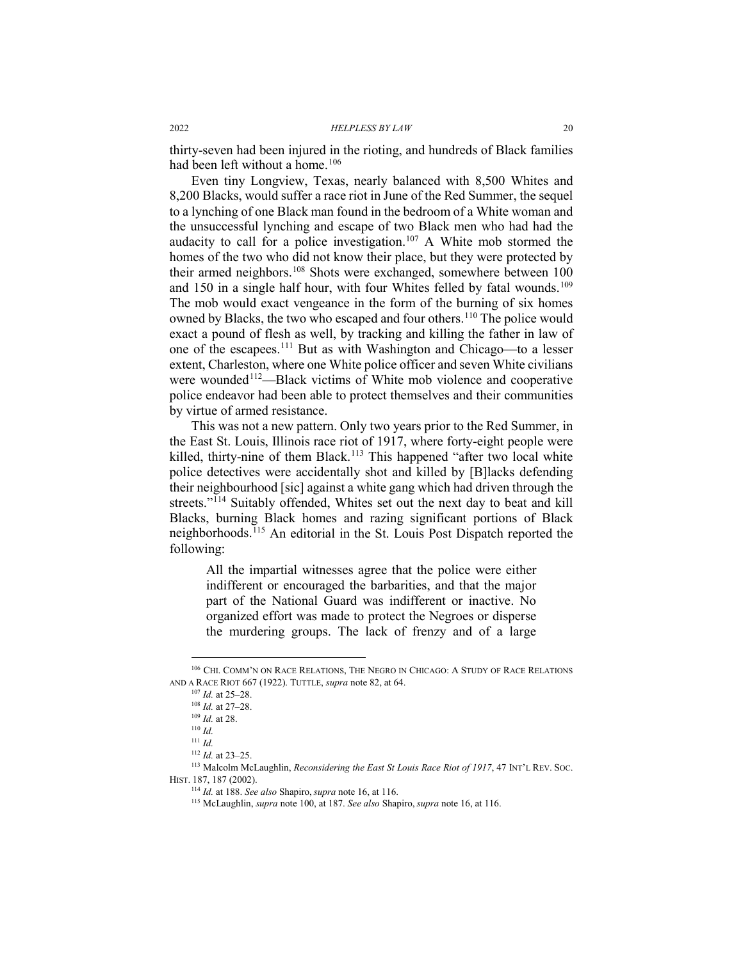thirty-seven had been injured in the rioting, and hundreds of Black families had been left without a home.<sup>[106](#page-19-0)</sup>

Even tiny Longview, Texas, nearly balanced with 8,500 Whites and 8,200 Blacks, would suffer a race riot in June of the Red Summer, the sequel to a lynching of one Black man found in the bedroom of a White woman and the unsuccessful lynching and escape of two Black men who had had the audacity to call for a police investigation.<sup>[107](#page-19-1)</sup> A White mob stormed the homes of the two who did not know their place, but they were protected by their armed neighbors.<sup>[108](#page-19-2)</sup> Shots were exchanged, somewhere between 100 and 150 in a single half hour, with four Whites felled by fatal wounds.<sup>[109](#page-19-3)</sup> The mob would exact vengeance in the form of the burning of six homes owned by Blacks, the two who escaped and four others.<sup>[110](#page-19-4)</sup> The police would exact a pound of flesh as well, by tracking and killing the father in law of one of the escapees[.111](#page-19-5) But as with Washington and Chicago—to a lesser extent, Charleston, where one White police officer and seven White civilians were wounded<sup>[112](#page-19-6)</sup>—Black victims of White mob violence and cooperative police endeavor had been able to protect themselves and their communities by virtue of armed resistance.

This was not a new pattern. Only two years prior to the Red Summer, in the East St. Louis, Illinois race riot of 1917, where forty-eight people were killed, thirty-nine of them Black.<sup>[113](#page-19-7)</sup> This happened "after two local white police detectives were accidentally shot and killed by [B]lacks defending their neighbourhood [sic] against a white gang which had driven through the streets."<sup>[114](#page-19-8)</sup> Suitably offended, Whites set out the next day to beat and kill Blacks, burning Black homes and razing significant portions of Black neighborhoods.[115](#page-19-9) An editorial in the St. Louis Post Dispatch reported the following:

All the impartial witnesses agree that the police were either indifferent or encouraged the barbarities, and that the major part of the National Guard was indifferent or inactive. No organized effort was made to protect the Negroes or disperse the murdering groups. The lack of frenzy and of a large

<span id="page-19-2"></span><span id="page-19-1"></span><span id="page-19-0"></span> <sup>106</sup> CHI. COMM'N ON RACE RELATIONS, THE NEGRO IN CHICAGO: <sup>A</sup> STUDY OF RACE RELATIONS AND A RACE RIOT 667 (1922). TUTTLE, *supra* not[e 82,](#page-16-13) at 64.

<sup>107</sup> *Id.* at 25–28.

<sup>108</sup> *Id.* at 27–28.

<sup>109</sup> *Id.* at 28.

 $110$  *Id.* 

<sup>111</sup> *Id.*

<sup>112</sup> *Id.* at 23–25.

<span id="page-19-9"></span><span id="page-19-8"></span><span id="page-19-7"></span><span id="page-19-6"></span><span id="page-19-5"></span><span id="page-19-4"></span><span id="page-19-3"></span><sup>113</sup> Malcolm McLaughlin, *Reconsidering the East St Louis Race Riot of 1917*, 47 INT'L REV. SOC. HIST. 187, 187 (2002).

<sup>114</sup> *Id.* at 188. *See also* Shapiro, *supra* not[e 16,](#page-5-5) at 116.

<sup>115</sup> McLaughlin, *supra* note 100, at 187. *See also* Shapiro, *supra* not[e 16,](#page-5-5) at 116.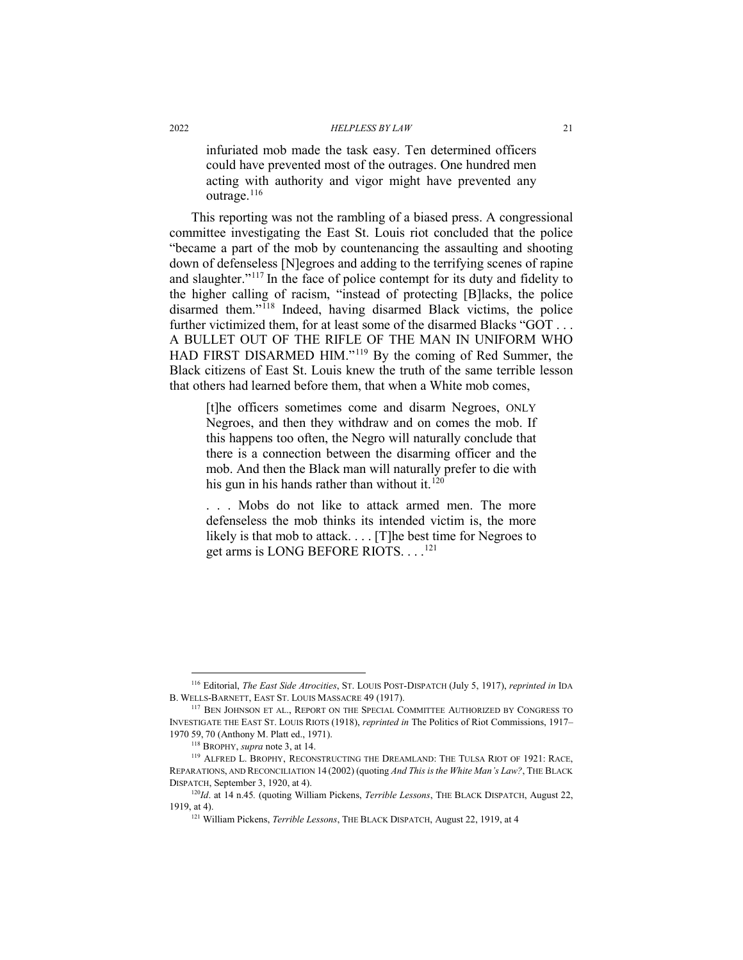infuriated mob made the task easy. Ten determined officers could have prevented most of the outrages. One hundred men acting with authority and vigor might have prevented any outrage. $116$ 

This reporting was not the rambling of a biased press. A congressional committee investigating the East St. Louis riot concluded that the police "became a part of the mob by countenancing the assaulting and shooting down of defenseless [N]egroes and adding to the terrifying scenes of rapine and slaughter."[117](#page-20-1) In the face of police contempt for its duty and fidelity to the higher calling of racism, "instead of protecting [B]lacks, the police disarmed them."[118](#page-20-2) Indeed, having disarmed Black victims, the police further victimized them, for at least some of the disarmed Blacks "GOT . . . A BULLET OUT OF THE RIFLE OF THE MAN IN UNIFORM WHO HAD FIRST DISARMED HIM."[119](#page-20-3) By the coming of Red Summer, the Black citizens of East St. Louis knew the truth of the same terrible lesson that others had learned before them, that when a White mob comes,

[t]he officers sometimes come and disarm Negroes, ONLY Negroes, and then they withdraw and on comes the mob. If this happens too often, the Negro will naturally conclude that there is a connection between the disarming officer and the mob. And then the Black man will naturally prefer to die with his gun in his hands rather than without it.<sup>[120](#page-20-4)</sup>

. . . Mobs do not like to attack armed men. The more defenseless the mob thinks its intended victim is, the more likely is that mob to attack. . . . [T]he best time for Negroes to get arms is LONG BEFORE RIOTS. . . .<sup>[121](#page-20-5)</sup>

<span id="page-20-0"></span> <sup>116</sup> Editorial, *The East Side Atrocities*, ST. LOUIS POST-DISPATCH (July 5, 1917), *reprinted in* IDA B. WELLS-BARNETT, EAST ST. LOUIS MASSACRE 49 (1917).

<span id="page-20-1"></span><sup>&</sup>lt;sup>117</sup> BEN JOHNSON ET AL., REPORT ON THE SPECIAL COMMITTEE AUTHORIZED BY CONGRESS TO INVESTIGATE THE EAST ST. LOUIS RIOTS (1918), *reprinted in* The Politics of Riot Commissions, 1917– 1970 59, 70 (Anthony M. Platt ed., 1971).

<sup>118</sup> BROPHY, *supra* not[e 3,](#page-3-6) at 14.

<span id="page-20-3"></span><span id="page-20-2"></span><sup>119</sup> ALFRED L. BROPHY, RECONSTRUCTING THE DREAMLAND: THE TULSA RIOT OF 1921: RACE, REPARATIONS, AND RECONCILIATION 14 (2002) (quoting *And This is the White Man's Law?*, THE BLACK DISPATCH, September 3, 1920, at 4).

<span id="page-20-5"></span><span id="page-20-4"></span><sup>120</sup>*Id*. at 14 n.45*.* (quoting William Pickens, *Terrible Lessons*, THE BLACK DISPATCH, August 22, 1919, at 4).

<sup>121</sup> William Pickens, *Terrible Lessons*, THE BLACK DISPATCH, August 22, 1919, at 4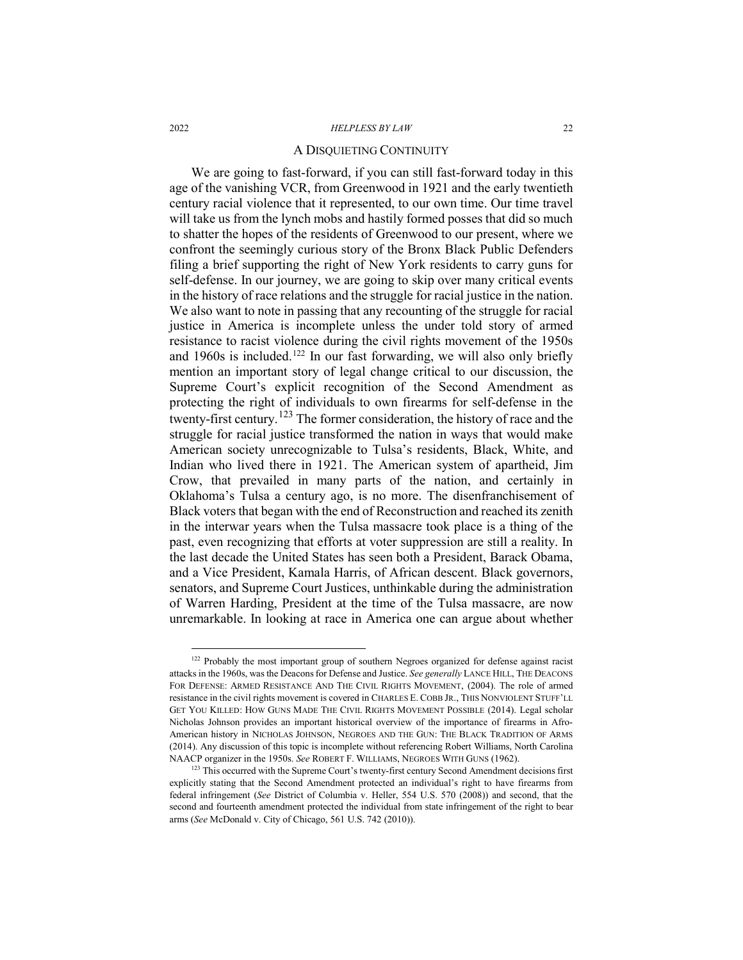#### A DISQUIETING CONTINUITY

We are going to fast-forward, if you can still fast-forward today in this age of the vanishing VCR, from Greenwood in 1921 and the early twentieth century racial violence that it represented, to our own time. Our time travel will take us from the lynch mobs and hastily formed posses that did so much to shatter the hopes of the residents of Greenwood to our present, where we confront the seemingly curious story of the Bronx Black Public Defenders filing a brief supporting the right of New York residents to carry guns for self-defense. In our journey, we are going to skip over many critical events in the history of race relations and the struggle for racial justice in the nation. We also want to note in passing that any recounting of the struggle for racial justice in America is incomplete unless the under told story of armed resistance to racist violence during the civil rights movement of the 1950s and 1960s is included.<sup>[122](#page-21-0)</sup> In our fast forwarding, we will also only briefly mention an important story of legal change critical to our discussion, the Supreme Court's explicit recognition of the Second Amendment as protecting the right of individuals to own firearms for self-defense in the twenty-first century.[123](#page-21-1) The former consideration, the history of race and the struggle for racial justice transformed the nation in ways that would make American society unrecognizable to Tulsa's residents, Black, White, and Indian who lived there in 1921. The American system of apartheid, Jim Crow, that prevailed in many parts of the nation, and certainly in Oklahoma's Tulsa a century ago, is no more. The disenfranchisement of Black voters that began with the end of Reconstruction and reached its zenith in the interwar years when the Tulsa massacre took place is a thing of the past, even recognizing that efforts at voter suppression are still a reality. In the last decade the United States has seen both a President, Barack Obama, and a Vice President, Kamala Harris, of African descent. Black governors, senators, and Supreme Court Justices, unthinkable during the administration of Warren Harding, President at the time of the Tulsa massacre, are now unremarkable. In looking at race in America one can argue about whether

<span id="page-21-0"></span><sup>&</sup>lt;sup>122</sup> Probably the most important group of southern Negroes organized for defense against racist attacks in the 1960s, was the Deacons for Defense and Justice. *See generally* LANCE HILL, THE DEACONS FOR DEFENSE: ARMED RESISTANCE AND THE CIVIL RIGHTS MOVEMENT, (2004). The role of armed resistance in the civil rights movement is covered in CHARLES E. COBB JR., THIS NONVIOLENT STUFF'LL GET YOU KILLED: HOW GUNS MADE THE CIVIL RIGHTS MOVEMENT POSSIBLE (2014). Legal scholar Nicholas Johnson provides an important historical overview of the importance of firearms in Afro-American history in NICHOLAS JOHNSON, NEGROES AND THE GUN: THE BLACK TRADITION OF ARMS (2014). Any discussion of this topic is incomplete without referencing Robert Williams, North Carolina NAACP organizer in the 1950s. *See* ROBERT F. WILLIAMS, NEGROES WITH GUNS (1962).

<span id="page-21-1"></span><sup>&</sup>lt;sup>123</sup> This occurred with the Supreme Court's twenty-first century Second Amendment decisions first explicitly stating that the Second Amendment protected an individual's right to have firearms from federal infringement (*See* District of Columbia v. Heller, 554 U.S. 570 (2008)) and second, that the second and fourteenth amendment protected the individual from state infringement of the right to bear arms (*See* McDonald v. City of Chicago, 561 U.S. 742 (2010)).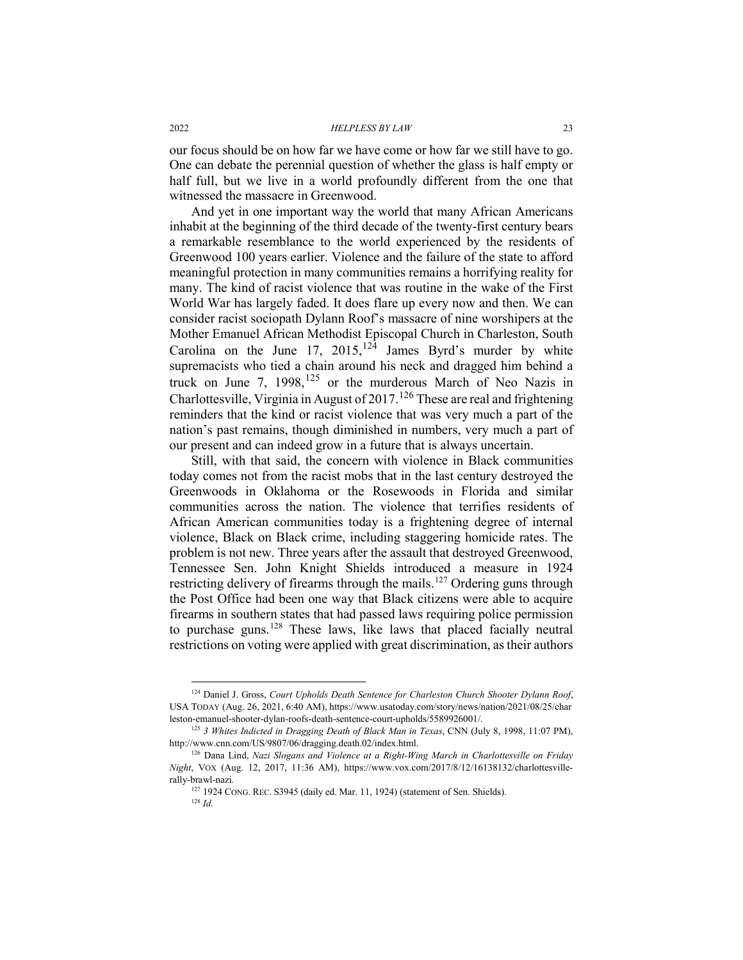our focus should be on how far we have come or how far we still have to go. One can debate the perennial question of whether the glass is half empty or half full, but we live in a world profoundly different from the one that witnessed the massacre in Greenwood.

And yet in one important way the world that many African Americans inhabit at the beginning of the third decade of the twenty-first century bears a remarkable resemblance to the world experienced by the residents of Greenwood 100 years earlier. Violence and the failure of the state to afford meaningful protection in many communities remains a horrifying reality for many. The kind of racist violence that was routine in the wake of the First World War has largely faded. It does flare up every now and then. We can consider racist sociopath Dylann Roof's massacre of nine worshipers at the Mother Emanuel African Methodist Episcopal Church in Charleston, South Carolina on the June 17, 2015,<sup>[124](#page-22-0)</sup> James Byrd's murder by white supremacists who tied a chain around his neck and dragged him behind a truck on June 7,  $1998$ ,  $125$  or the murderous March of Neo Nazis in Charlottesville, Virginia in August of  $2017$ .<sup>[126](#page-22-2)</sup> These are real and frightening reminders that the kind or racist violence that was very much a part of the nation's past remains, though diminished in numbers, very much a part of our present and can indeed grow in a future that is always uncertain.

Still, with that said, the concern with violence in Black communities today comes not from the racist mobs that in the last century destroyed the Greenwoods in Oklahoma or the Rosewoods in Florida and similar communities across the nation. The violence that terrifies residents of African American communities today is a frightening degree of internal violence, Black on Black crime, including staggering homicide rates. The problem is not new. Three years after the assault that destroyed Greenwood, Tennessee Sen. John Knight Shields introduced a measure in 1924 restricting delivery of firearms through the mails.<sup>[127](#page-22-3)</sup> Ordering guns through the Post Office had been one way that Black citizens were able to acquire firearms in southern states that had passed laws requiring police permission to purchase guns.[128](#page-22-4) These laws, like laws that placed facially neutral restrictions on voting were applied with great discrimination, as their authors

<span id="page-22-0"></span> <sup>124</sup> Daniel J. Gross, *Court Upholds Death Sentence for Charleston Church Shooter Dylann Roof*, USA TODAY (Aug. 26, 2021, 6:40 AM), https://www.usatoday.com/story/news/nation/2021/08/25/char leston-emanuel-shooter-dylan-roofs-death-sentence-court-upholds/5589926001/.

<span id="page-22-1"></span><sup>125</sup> *3 Whites Indicted in Dragging Death of Black Man in Texas*, CNN (July 8, 1998, 11:07 PM), http://www.cnn.com/US/9807/06/dragging.death.02/index.html.

<span id="page-22-4"></span><span id="page-22-3"></span><span id="page-22-2"></span><sup>126</sup> Dana Lind, *Nazi Slogans and Violence at a Right-Wing March in Charlottesville on Friday Night*, VOX (Aug. 12, 2017, 11:36 AM), https://www.vox.com/2017/8/12/16138132/charlottesvillerally-brawl-nazi*.*

<sup>127</sup> 1924 CONG. REC. S3945 (daily ed. Mar. 11, 1924) (statement of Sen. Shields).

<sup>128</sup> *Id.*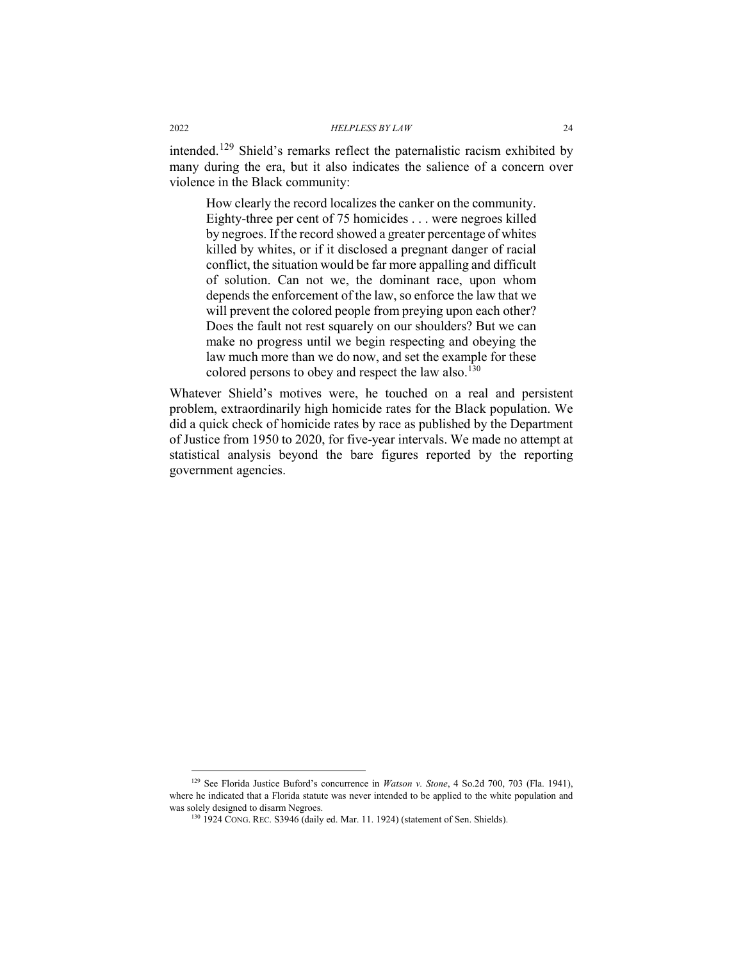intended.[129](#page-23-0) Shield's remarks reflect the paternalistic racism exhibited by many during the era, but it also indicates the salience of a concern over violence in the Black community:

How clearly the record localizes the canker on the community. Eighty-three per cent of 75 homicides . . . were negroes killed by negroes. If the record showed a greater percentage of whites killed by whites, or if it disclosed a pregnant danger of racial conflict, the situation would be far more appalling and difficult of solution. Can not we, the dominant race, upon whom depends the enforcement of the law, so enforce the law that we will prevent the colored people from preying upon each other? Does the fault not rest squarely on our shoulders? But we can make no progress until we begin respecting and obeying the law much more than we do now, and set the example for these colored persons to obey and respect the law also.[130](#page-23-1)

Whatever Shield's motives were, he touched on a real and persistent problem, extraordinarily high homicide rates for the Black population. We did a quick check of homicide rates by race as published by the Department of Justice from 1950 to 2020, for five-year intervals. We made no attempt at statistical analysis beyond the bare figures reported by the reporting government agencies.

<span id="page-23-1"></span><span id="page-23-0"></span><sup>&</sup>lt;sup>129</sup> See Florida Justice Buford's concurrence in *Watson v. Stone*, 4 So.2d 700, 703 (Fla. 1941), where he indicated that a Florida statute was never intended to be applied to the white population and was solely designed to disarm Negroes.

<sup>130</sup> 1924 CONG. REC. S3946 (daily ed. Mar. 11. 1924) (statement of Sen. Shields).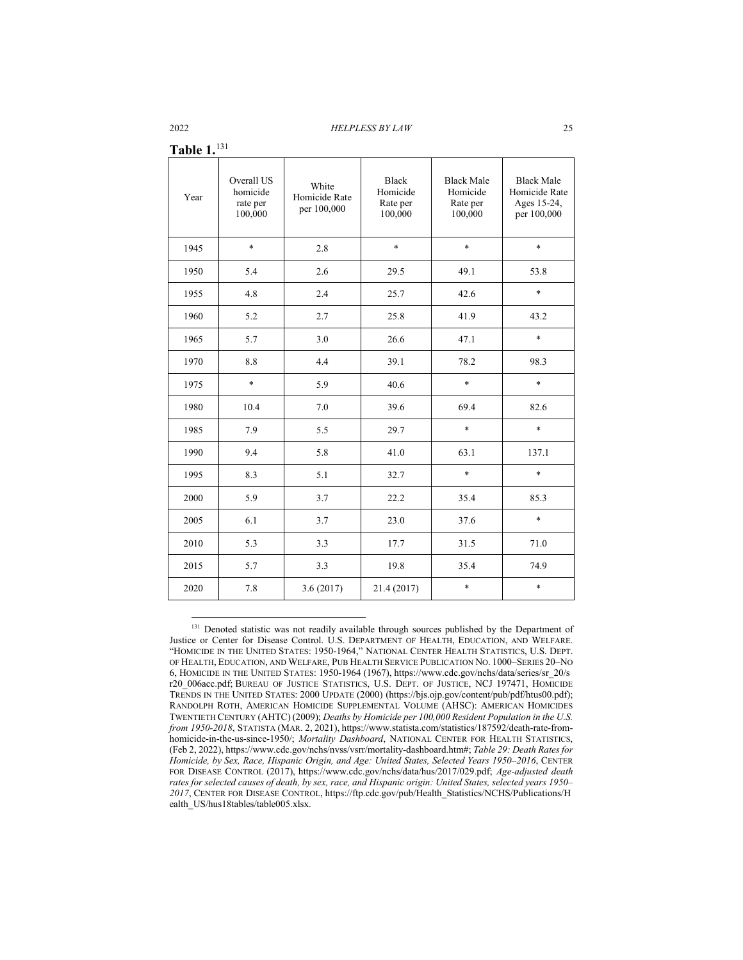| Table $1.^{131}$ |
|------------------|
|------------------|

| 1 AVIV 1. |                                               |                                       |                                                 |                                                      |                                                                  |
|-----------|-----------------------------------------------|---------------------------------------|-------------------------------------------------|------------------------------------------------------|------------------------------------------------------------------|
| Year      | Overall US<br>homicide<br>rate per<br>100,000 | White<br>Homicide Rate<br>per 100,000 | <b>Black</b><br>Homicide<br>Rate per<br>100,000 | <b>Black Male</b><br>Homicide<br>Rate per<br>100,000 | <b>Black Male</b><br>Homicide Rate<br>Ages 15-24,<br>per 100,000 |
| 1945      | $\ast$                                        | 2.8                                   | $\ast$                                          | $\ast$                                               | $\ast$                                                           |
| 1950      | 5.4                                           | 2.6                                   | 29.5                                            | 49.1                                                 | 53.8                                                             |
| 1955      | 4.8                                           | 2.4                                   | 25.7                                            | 42.6                                                 | $\ast$                                                           |
| 1960      | 5.2                                           | 2.7                                   | 25.8                                            | 41.9                                                 | 43.2                                                             |
| 1965      | 5.7                                           | 3.0                                   | 26.6                                            | 47.1                                                 | $\ast$                                                           |
| 1970      | 8.8                                           | 4.4                                   | 39.1                                            | 78.2                                                 | 98.3                                                             |
| 1975      | $\ast$                                        | 5.9                                   | 40.6                                            | $\ast$                                               | $\ast$                                                           |
| 1980      | 10.4                                          | 7.0                                   | 39.6                                            | 69.4                                                 | 82.6                                                             |
| 1985      | 7.9                                           | 5.5                                   | 29.7                                            | $\ast$                                               | $\ast$                                                           |
| 1990      | 9.4                                           | 5.8                                   | 41.0                                            | 63.1                                                 | 137.1                                                            |
| 1995      | 8.3                                           | 5.1                                   | 32.7                                            | $\ast$                                               | $\ast$                                                           |
| 2000      | 5.9                                           | 3.7                                   | 22.2                                            | 35.4                                                 | 85.3                                                             |
| 2005      | 6.1                                           | 3.7                                   | 23.0                                            | 37.6                                                 | $\ast$                                                           |
| 2010      | 5.3                                           | 3.3                                   | 17.7                                            | 31.5                                                 | 71.0                                                             |
| 2015      | 5.7                                           | 3.3                                   | 19.8                                            | 35.4                                                 | 74.9                                                             |
| 2020      | 7.8                                           | 3.6(2017)                             | 21.4 (2017)                                     | $\ast$                                               | $\ast$                                                           |

<span id="page-24-0"></span><sup>&</sup>lt;sup>131</sup> Denoted statistic was not readily available through sources published by the Department of Justice or Center for Disease Control. U.S. DEPARTMENT OF HEALTH, EDUCATION, AND WELFARE. "HOMICIDE IN THE UNITED STATES: 1950-1964," NATIONAL CENTER HEALTH STATISTICS, U.S. DEPT. OF HEALTH, EDUCATION, AND WELFARE, PUB HEALTH SERVICE PUBLICATION NO. 1000–SERIES 20–NO 6, HOMICIDE IN THE UNITED STATES: 1950-1964 (1967), https://www.cdc.gov/nchs/data/series/sr\_20/s r20\_006acc.pdf; BUREAU OF JUSTICE STATISTICS, U.S. DEPT. OF JUSTICE, NCJ 197471, HOMICIDE TRENDS IN THE UNITED STATES: 2000 UPDATE (2000) (https://bjs.ojp.gov/content/pub/pdf/htus00.pdf); RANDOLPH ROTH, AMERICAN HOMICIDE SUPPLEMENTAL VOLUME (AHSC): AMERICAN HOMICIDES TWENTIETH CENTURY (AHTC) (2009); *Deaths by Homicide per 100,000 Resident Population in the U.S. from 1950-2018*, STATISTA (MAR. 2, 2021), https://www.statista.com/statistics/187592/death-rate-fromhomicide-in-the-us-since-1950/; *Mortality Dashboard*, NATIONAL CENTER FOR HEALTH STATISTICS, (Feb 2, 2022), https://www.cdc.gov/nchs/nvss/vsrr/mortality-dashboard.htm#; *Table 29: Death Rates for Homicide, by Sex, Race, Hispanic Origin, and Age: United States, Selected Years 1950–2016*, CENTER FOR DISEASE CONTROL (2017), https://www.cdc.gov/nchs/data/hus/2017/029.pdf; *Age-adjusted death rates for selected causes of death, by sex, race, and Hispanic origin: United States, selected years 1950– 2017*, CENTER FOR DISEASE CONTROL, https://ftp.cdc.gov/pub/Health\_Statistics/NCHS/Publications/H ealth\_US/hus18tables/table005.xlsx.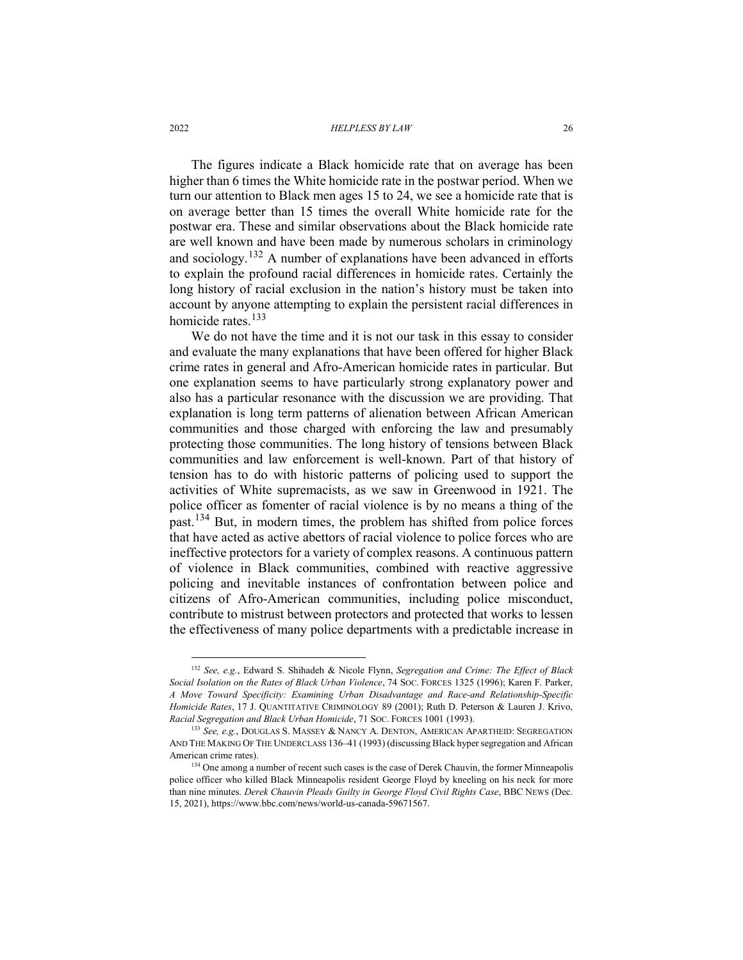The figures indicate a Black homicide rate that on average has been higher than 6 times the White homicide rate in the postwar period. When we turn our attention to Black men ages 15 to 24, we see a homicide rate that is on average better than 15 times the overall White homicide rate for the postwar era. These and similar observations about the Black homicide rate are well known and have been made by numerous scholars in criminology and sociology.<sup>[132](#page-25-0)</sup> A number of explanations have been advanced in efforts to explain the profound racial differences in homicide rates. Certainly the long history of racial exclusion in the nation's history must be taken into account by anyone attempting to explain the persistent racial differences in homicide rates.<sup>[133](#page-25-1)</sup>

We do not have the time and it is not our task in this essay to consider and evaluate the many explanations that have been offered for higher Black crime rates in general and Afro-American homicide rates in particular. But one explanation seems to have particularly strong explanatory power and also has a particular resonance with the discussion we are providing. That explanation is long term patterns of alienation between African American communities and those charged with enforcing the law and presumably protecting those communities. The long history of tensions between Black communities and law enforcement is well-known. Part of that history of tension has to do with historic patterns of policing used to support the activities of White supremacists, as we saw in Greenwood in 1921. The police officer as fomenter of racial violence is by no means a thing of the past.[134](#page-25-2) But, in modern times, the problem has shifted from police forces that have acted as active abettors of racial violence to police forces who are ineffective protectors for a variety of complex reasons. A continuous pattern of violence in Black communities, combined with reactive aggressive policing and inevitable instances of confrontation between police and citizens of Afro-American communities, including police misconduct, contribute to mistrust between protectors and protected that works to lessen the effectiveness of many police departments with a predictable increase in

<span id="page-25-0"></span> <sup>132</sup> *See, e.g.*, Edward S. Shihadeh & Nicole Flynn, *Segregation and Crime: The Effect of Black Social Isolation on the Rates of Black Urban Violence*, 74 SOC. FORCES 1325 (1996); Karen F. Parker, *A Move Toward Specificity: Examining Urban Disadvantage and Race-and Relationship-Specific Homicide Rates*, 17 J. QUANTITATIVE CRIMINOLOGY 89 (2001); Ruth D. Peterson & Lauren J. Krivo, *Racial Segregation and Black Urban Homicide*, 71 SOC. FORCES 1001 (1993).

<span id="page-25-1"></span><sup>133</sup> *See, e.g.*, DOUGLAS S. MASSEY & NANCY A. DENTON, AMERICAN APARTHEID: SEGREGATION AND THE MAKING OF THE UNDERCLASS 136–41 (1993) (discussing Black hyper segregation and African American crime rates).

<span id="page-25-2"></span><sup>&</sup>lt;sup>134</sup> One among a number of recent such cases is the case of Derek Chauvin, the former Minneapolis police officer who killed Black Minneapolis resident George Floyd by kneeling on his neck for more than nine minutes. *Derek Chauvin Pleads Guilty in George Floyd Civil Rights Case*, BBC NEWS (Dec. 15, 2021), https://www.bbc.com/news/world-us-canada-59671567.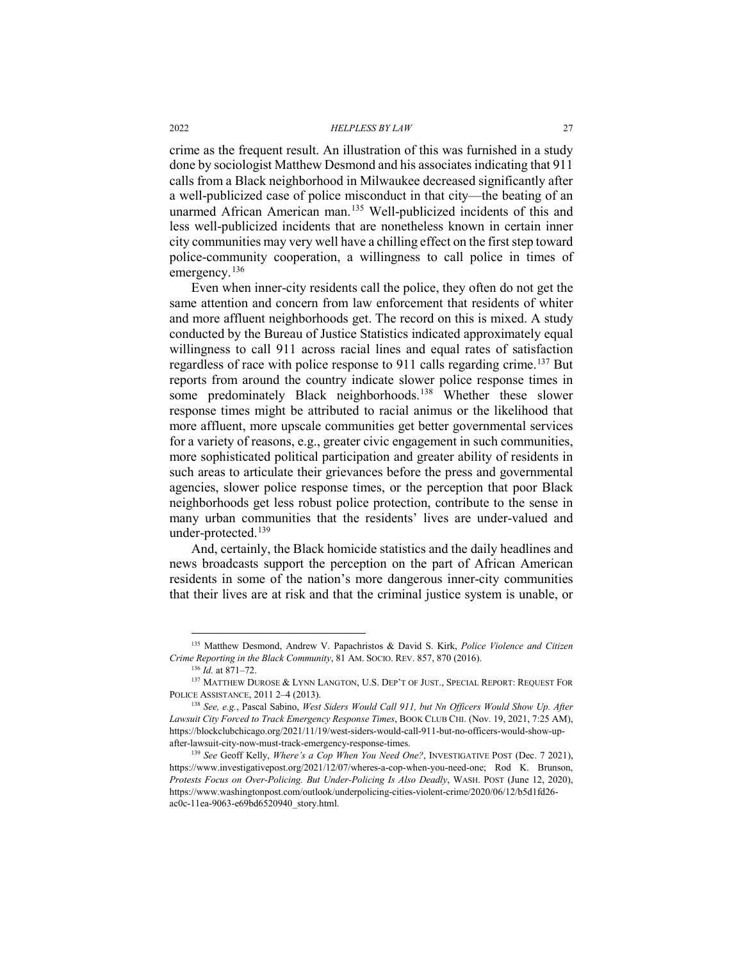crime as the frequent result. An illustration of this was furnished in a study done by sociologist Matthew Desmond and his associates indicating that 911 calls from a Black neighborhood in Milwaukee decreased significantly after a well-publicized case of police misconduct in that city—the beating of an unarmed African American man.[135](#page-26-0) Well-publicized incidents of this and less well-publicized incidents that are nonetheless known in certain inner city communities may very well have a chilling effect on the first step toward police-community cooperation, a willingness to call police in times of emergency.<sup>[136](#page-26-1)</sup>

Even when inner-city residents call the police, they often do not get the same attention and concern from law enforcement that residents of whiter and more affluent neighborhoods get. The record on this is mixed. A study conducted by the Bureau of Justice Statistics indicated approximately equal willingness to call 911 across racial lines and equal rates of satisfaction regardless of race with police response to 911 calls regarding crime.<sup>[137](#page-26-2)</sup> But reports from around the country indicate slower police response times in some predominately Black neighborhoods.<sup>138</sup> Whether these slower response times might be attributed to racial animus or the likelihood that more affluent, more upscale communities get better governmental services for a variety of reasons, e.g., greater civic engagement in such communities, more sophisticated political participation and greater ability of residents in such areas to articulate their grievances before the press and governmental agencies, slower police response times, or the perception that poor Black neighborhoods get less robust police protection, contribute to the sense in many urban communities that the residents' lives are under-valued and under-protected.[139](#page-26-4)

And, certainly, the Black homicide statistics and the daily headlines and news broadcasts support the perception on the part of African American residents in some of the nation's more dangerous inner-city communities that their lives are at risk and that the criminal justice system is unable, or

<span id="page-26-0"></span> <sup>135</sup> Matthew Desmond, Andrew V. Papachristos & David S. Kirk, *Police Violence and Citizen Crime Reporting in the Black Community*, 81 AM. SOCIO. REV. 857, 870 (2016).

<span id="page-26-2"></span><span id="page-26-1"></span><sup>&</sup>lt;sup>137</sup> MATTHEW DUROSE & LYNN LANGTON, U.S. DEP'T OF JUST., SPECIAL REPORT: REQUEST FOR POLICE ASSISTANCE, 2011 2–4 (2013).

<span id="page-26-3"></span><sup>138</sup> *See, e.g.*, Pascal Sabino, *West Siders Would Call 911, but Nn Officers Would Show Up. After Lawsuit City Forced to Track Emergency Response Times*, BOOK CLUB CHI. (Nov. 19, 2021, 7:25 AM), https://blockclubchicago.org/2021/11/19/west-siders-would-call-911-but-no-officers-would-show-upafter-lawsuit-city-now-must-track-emergency-response-times.

<span id="page-26-4"></span><sup>139</sup> *See* Geoff Kelly, *Where's a Cop When You Need One?*, INVESTIGATIVE POST (Dec. 7 2021), https://www.investigativepost.org/2021/12/07/wheres-a-cop-when-you-need-one; Rod K. Brunson, *Protests Focus on Over-Policing. But Under-Policing Is Also Deadly*, WASH. POST (June 12, 2020), https://www.washingtonpost.com/outlook/underpolicing-cities-violent-crime/2020/06/12/b5d1fd26 ac0c-11ea-9063-e69bd6520940\_story.html.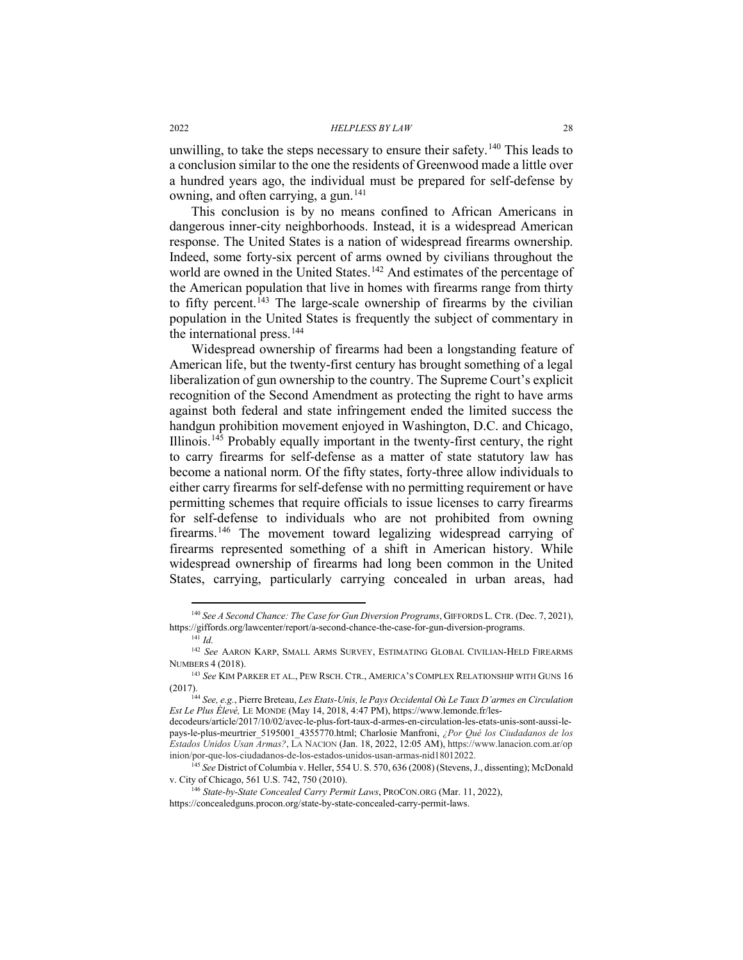unwilling, to take the steps necessary to ensure their safety. [140](#page-27-0) This leads to a conclusion similar to the one the residents of Greenwood made a little over a hundred years ago, the individual must be prepared for self-defense by owning, and often carrying, a gun.<sup>[141](#page-27-1)</sup>

This conclusion is by no means confined to African Americans in dangerous inner-city neighborhoods. Instead, it is a widespread American response. The United States is a nation of widespread firearms ownership. Indeed, some forty-six percent of arms owned by civilians throughout the world are owned in the United States.<sup>[142](#page-27-2)</sup> And estimates of the percentage of the American population that live in homes with firearms range from thirty to fifty percent.<sup> $143$ </sup> The large-scale ownership of firearms by the civilian population in the United States is frequently the subject of commentary in the international press.<sup>[144](#page-27-4)</sup>

Widespread ownership of firearms had been a longstanding feature of American life, but the twenty-first century has brought something of a legal liberalization of gun ownership to the country. The Supreme Court's explicit recognition of the Second Amendment as protecting the right to have arms against both federal and state infringement ended the limited success the handgun prohibition movement enjoyed in Washington, D.C. and Chicago, Illinois.[145](#page-27-5) Probably equally important in the twenty-first century, the right to carry firearms for self-defense as a matter of state statutory law has become a national norm. Of the fifty states, forty-three allow individuals to either carry firearms for self-defense with no permitting requirement or have permitting schemes that require officials to issue licenses to carry firearms for self-defense to individuals who are not prohibited from owning firearms.[146](#page-27-6) The movement toward legalizing widespread carrying of firearms represented something of a shift in American history. While widespread ownership of firearms had long been common in the United States, carrying, particularly carrying concealed in urban areas, had

<span id="page-27-0"></span> <sup>140</sup> *See A Second Chance: The Case for Gun Diversion Programs*, GIFFORDS L. CTR. (Dec. 7, 2021), https://giffords.org/lawcenter/report/a-second-chance-the-case-for-gun-diversion-programs.

<sup>141</sup> *Id.*

<span id="page-27-2"></span><span id="page-27-1"></span><sup>142</sup> *See* AARON KARP, SMALL ARMS SURVEY, ESTIMATING GLOBAL CIVILIAN-HELD FIREARMS NUMBERS 4 (2018).

<span id="page-27-3"></span><sup>143</sup> *See* KIM PARKER ET AL., PEW RSCH. CTR., AMERICA'S COMPLEX RELATIONSHIP WITH GUNS 16 (2017).

<sup>144</sup> *See, e.g.*, Pierre Breteau, *Les Etats-Unis, le Pays Occidental Où Le Taux D'armes en Circulation Est Le Plus Élevé,* LE MONDE (May 14, 2018, 4:47 PM), https://www.lemonde.fr/les-

<span id="page-27-4"></span>decodeurs/article/2017/10/02/avec-le-plus-fort-taux-d-armes-en-circulation-les-etats-unis-sont-aussi-lepays-le-plus-meurtrier\_5195001\_4355770.html; Charlosie Manfroni, *¿Por Qué los Ciudadanos de los Estados Unidos Usan Armas?*, LA NACION (Jan. 18, 2022, 12:05 AM), https://www.lanacion.com.ar/op inion/por-que-los-ciudadanos-de-los-estados-unidos-usan-armas-nid18012022.

<span id="page-27-5"></span><sup>145</sup> *See* District of Columbia v. Heller, 554 U. S. 570, 636 (2008) (Stevens, J., dissenting); McDonald v. City of Chicago, 561 U.S. 742, 750 (2010).

<sup>146</sup> *State-by-State Concealed Carry Permit Laws*, PROCON.ORG (Mar. 11, 2022),

<span id="page-27-6"></span>https://concealedguns.procon.org/state-by-state-concealed-carry-permit-laws.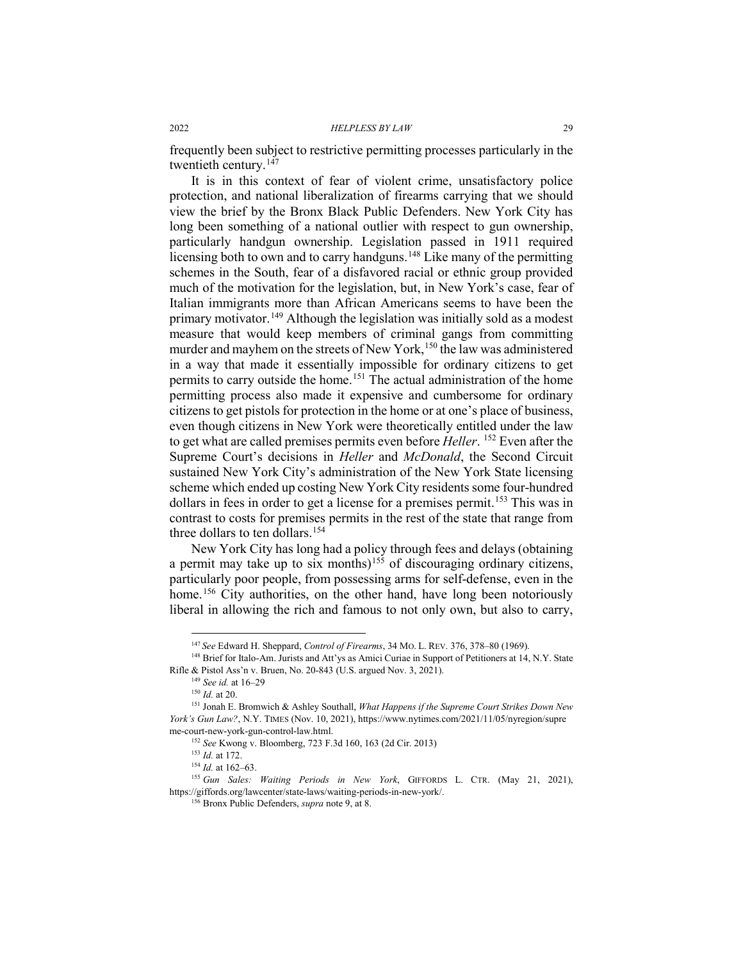frequently been subject to restrictive permitting processes particularly in the twentieth century.<sup>[147](#page-28-0)</sup>

It is in this context of fear of violent crime, unsatisfactory police protection, and national liberalization of firearms carrying that we should view the brief by the Bronx Black Public Defenders. New York City has long been something of a national outlier with respect to gun ownership, particularly handgun ownership. Legislation passed in 1911 required licensing both to own and to carry handguns.<sup>[148](#page-28-1)</sup> Like many of the permitting schemes in the South, fear of a disfavored racial or ethnic group provided much of the motivation for the legislation, but, in New York's case, fear of Italian immigrants more than African Americans seems to have been the primary motivator.<sup>[149](#page-28-2)</sup> Although the legislation was initially sold as a modest measure that would keep members of criminal gangs from committing murder and mayhem on the streets of New York,<sup>[150](#page-28-3)</sup> the law was administered in a way that made it essentially impossible for ordinary citizens to get permits to carry outside the home.<sup>[151](#page-28-4)</sup> The actual administration of the home permitting process also made it expensive and cumbersome for ordinary citizens to get pistols for protection in the home or at one's place of business, even though citizens in New York were theoretically entitled under the law to get what are called premises permits even before *Heller*. [152](#page-28-5) Even after the Supreme Court's decisions in *Heller* and *McDonald*, the Second Circuit sustained New York City's administration of the New York State licensing scheme which ended up costing New York City residents some four-hundred dollars in fees in order to get a license for a premises permit.<sup>[153](#page-28-6)</sup> This was in contrast to costs for premises permits in the rest of the state that range from three dollars to ten dollars. [154](#page-28-7)

New York City has long had a policy through fees and delays (obtaining a permit may take up to six months)<sup>[155](#page-28-8)</sup> of discouraging ordinary citizens, particularly poor people, from possessing arms for self-defense, even in the home.<sup>[156](#page-28-9)</sup> City authorities, on the other hand, have long been notoriously liberal in allowing the rich and famous to not only own, but also to carry,

 <sup>147</sup> *See* Edward H. Sheppard, *Control of Firearms*, 34 MO. L. REV. 376, 378–80 (1969).

<span id="page-28-2"></span><span id="page-28-1"></span><span id="page-28-0"></span><sup>&</sup>lt;sup>148</sup> Brief for Italo-Am. Jurists and Att'ys as Amici Curiae in Support of Petitioners at 14, N.Y. State Rifle & Pistol Ass'n v. Bruen, No. 20-843 (U.S. argued Nov. 3, 2021).

<sup>149</sup> *See id.* at 16–29

<sup>150</sup> *Id.* at 20.

<span id="page-28-4"></span><span id="page-28-3"></span><sup>151</sup> Jonah E. Bromwich & Ashley Southall, *What Happens if the Supreme Court Strikes Down New York's Gun Law?*, N.Y. TIMES (Nov. 10, 2021), https://www.nytimes.com/2021/11/05/nyregion/supre me-court-new-york-gun-control-law.html. 152 *See* Kwong v. Bloomberg, 723 F.3d 160, 163 (2d Cir. 2013)

<sup>153</sup> *Id.* at 172.

<sup>154</sup> *Id.* at 162–63.

<span id="page-28-9"></span><span id="page-28-8"></span><span id="page-28-7"></span><span id="page-28-6"></span><span id="page-28-5"></span><sup>155</sup> *Gun Sales: Waiting Periods in New York*, GIFFORDS L. CTR. (May 21, 2021), https://giffords.org/lawcenter/state-laws/waiting-periods-in-new-york/. 156 Bronx Public Defenders, *supra* not[e 9,](#page-4-3) at 8.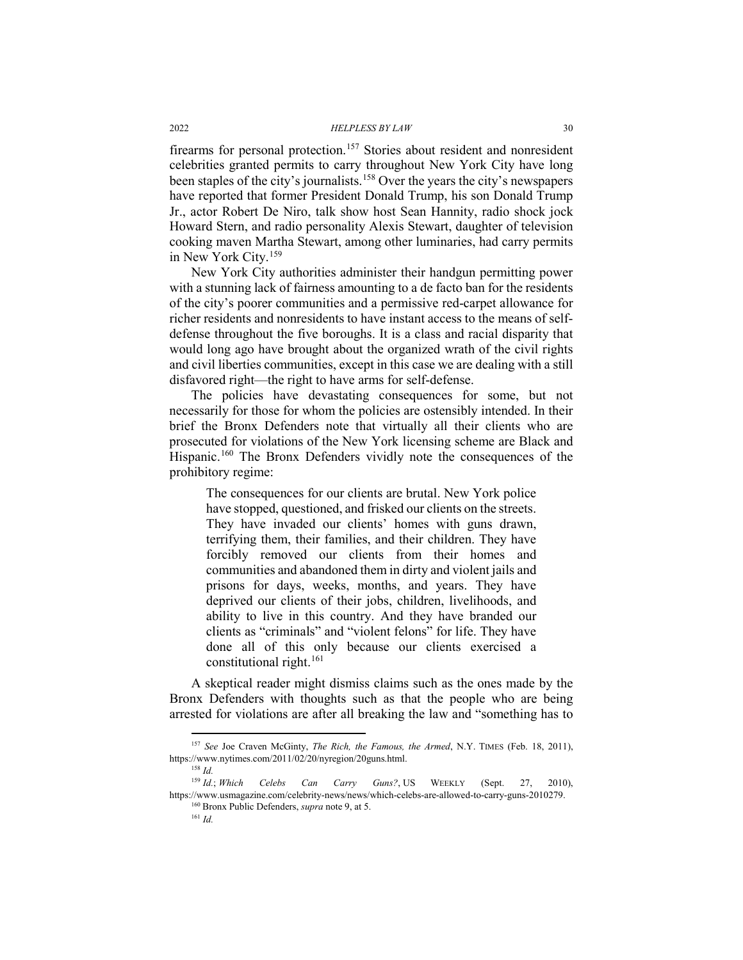firearms for personal protection.<sup>[157](#page-29-0)</sup> Stories about resident and nonresident celebrities granted permits to carry throughout New York City have long been staples of the city's journalists.[158](#page-29-1) Over the years the city's newspapers have reported that former President Donald Trump, his son Donald Trump Jr., actor Robert De Niro, talk show host Sean Hannity, radio shock jock Howard Stern, and radio personality Alexis Stewart, daughter of television cooking maven Martha Stewart, among other luminaries, had carry permits in New York City.[159](#page-29-2)

New York City authorities administer their handgun permitting power with a stunning lack of fairness amounting to a de facto ban for the residents of the city's poorer communities and a permissive red-carpet allowance for richer residents and nonresidents to have instant access to the means of selfdefense throughout the five boroughs. It is a class and racial disparity that would long ago have brought about the organized wrath of the civil rights and civil liberties communities, except in this case we are dealing with a still disfavored right—the right to have arms for self-defense.

The policies have devastating consequences for some, but not necessarily for those for whom the policies are ostensibly intended. In their brief the Bronx Defenders note that virtually all their clients who are prosecuted for violations of the New York licensing scheme are Black and Hispanic.[160](#page-29-3) The Bronx Defenders vividly note the consequences of the prohibitory regime:

The consequences for our clients are brutal. New York police have stopped, questioned, and frisked our clients on the streets. They have invaded our clients' homes with guns drawn, terrifying them, their families, and their children. They have forcibly removed our clients from their homes and communities and abandoned them in dirty and violent jails and prisons for days, weeks, months, and years. They have deprived our clients of their jobs, children, livelihoods, and ability to live in this country. And they have branded our clients as "criminals" and "violent felons" for life. They have done all of this only because our clients exercised a constitutional right.<sup>[161](#page-29-4)</sup>

A skeptical reader might dismiss claims such as the ones made by the Bronx Defenders with thoughts such as that the people who are being arrested for violations are after all breaking the law and "something has to

<sup>161</sup> *Id.*

<span id="page-29-0"></span><sup>&</sup>lt;sup>157</sup> See Joe Craven McGinty, *The Rich, the Famous, the Armed*, N.Y. TIMES (Feb. 18, 2011), https://www.nytimes.com/2011/02/20/nyregion/20guns.html.

<span id="page-29-4"></span><span id="page-29-3"></span><span id="page-29-2"></span><span id="page-29-1"></span><sup>&</sup>lt;sup>158</sup> *Id.*<br><sup>159</sup> *Id.*; *Which* <sup>159</sup> *Id.*; *Which Celebs Can Carry Guns?*, US WEEKLY (Sept. 27, 2010), https://www.usmagazine.com/celebrity-news/news/which-celebs-are-allowed-to-carry-guns-2010279. <sup>160</sup> Bronx Public Defenders, *supra* not[e 9,](#page-4-3) at 5.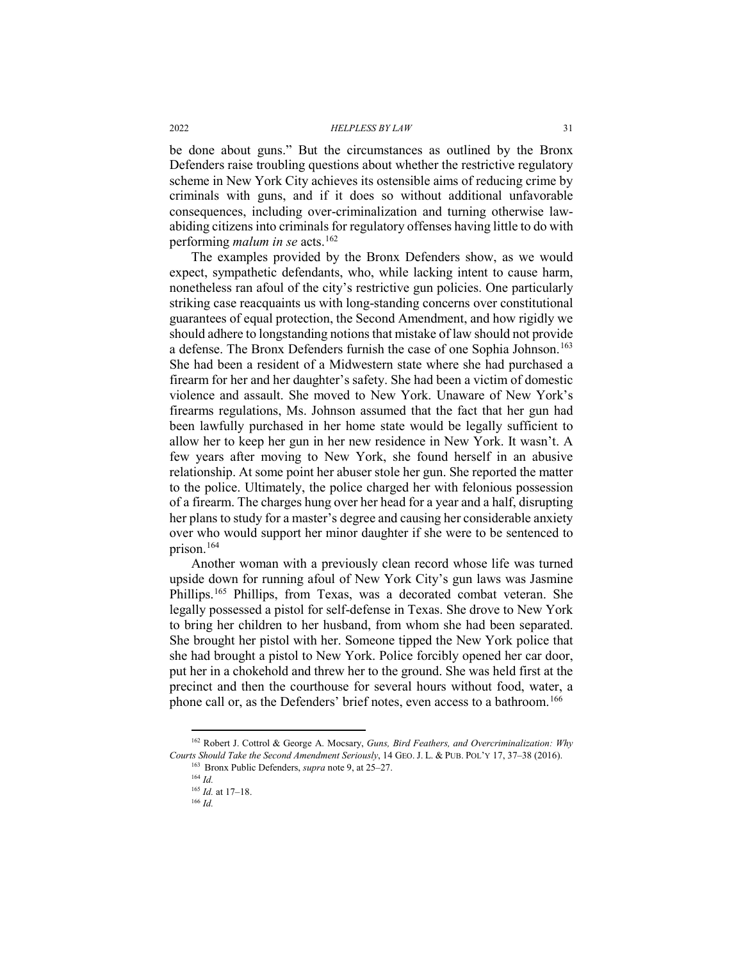be done about guns." But the circumstances as outlined by the Bronx Defenders raise troubling questions about whether the restrictive regulatory scheme in New York City achieves its ostensible aims of reducing crime by criminals with guns, and if it does so without additional unfavorable consequences, including over-criminalization and turning otherwise lawabiding citizens into criminals for regulatory offenses having little to do with performing *malum in se* acts.<sup>[162](#page-30-0)</sup>

The examples provided by the Bronx Defenders show, as we would expect, sympathetic defendants, who, while lacking intent to cause harm, nonetheless ran afoul of the city's restrictive gun policies. One particularly striking case reacquaints us with long-standing concerns over constitutional guarantees of equal protection, the Second Amendment, and how rigidly we should adhere to longstanding notions that mistake of law should not provide a defense. The Bronx Defenders furnish the case of one Sophia Johnson.<sup>[163](#page-30-1)</sup> She had been a resident of a Midwestern state where she had purchased a firearm for her and her daughter's safety. She had been a victim of domestic violence and assault. She moved to New York. Unaware of New York's firearms regulations, Ms. Johnson assumed that the fact that her gun had been lawfully purchased in her home state would be legally sufficient to allow her to keep her gun in her new residence in New York. It wasn't. A few years after moving to New York, she found herself in an abusive relationship. At some point her abuser stole her gun. She reported the matter to the police. Ultimately, the police charged her with felonious possession of a firearm. The charges hung over her head for a year and a half, disrupting her plans to study for a master's degree and causing her considerable anxiety over who would support her minor daughter if she were to be sentenced to prison[.164](#page-30-2)

Another woman with a previously clean record whose life was turned upside down for running afoul of New York City's gun laws was Jasmine Phillips.<sup>[165](#page-30-3)</sup> Phillips, from Texas, was a decorated combat veteran. She legally possessed a pistol for self-defense in Texas. She drove to New York to bring her children to her husband, from whom she had been separated. She brought her pistol with her. Someone tipped the New York police that she had brought a pistol to New York. Police forcibly opened her car door, put her in a chokehold and threw her to the ground. She was held first at the precinct and then the courthouse for several hours without food, water, a phone call or, as the Defenders' brief notes, even access to a bathroom.<sup>[166](#page-30-4)</sup>

<span id="page-30-4"></span><span id="page-30-3"></span><span id="page-30-2"></span><span id="page-30-1"></span><span id="page-30-0"></span> <sup>162</sup> Robert J. Cottrol & George A. Mocsary, *Guns, Bird Feathers, and Overcriminalization: Why Courts Should Take the Second Amendment Seriously*, 14 GEO. J. L. & PUB. POL'Y 17, 37–38 (2016).

<sup>163</sup> Bronx Public Defenders, *supra* not[e 9,](#page-4-3) at 25–27. <sup>164</sup> *Id.*

<sup>165</sup> *Id.* at 17–18.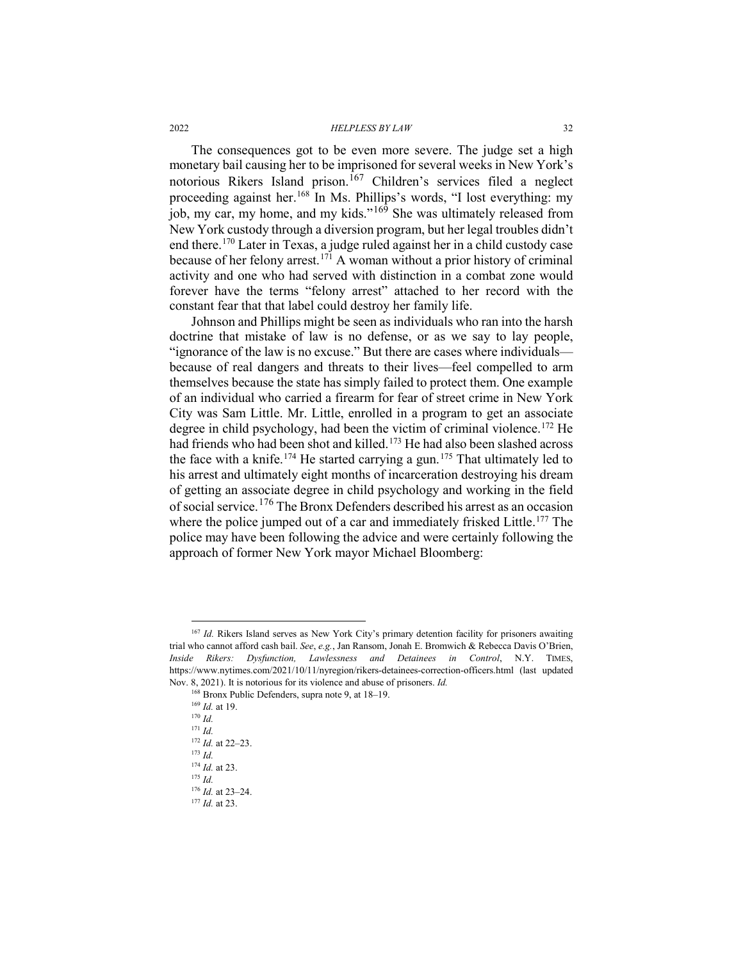The consequences got to be even more severe. The judge set a high monetary bail causing her to be imprisoned for several weeks in New York's notorious Rikers Island prison.<sup>[167](#page-31-0)</sup> Children's services filed a neglect proceeding against her.<sup>[168](#page-31-1)</sup> In Ms. Phillips's words, "I lost everything: my job, my car, my home, and my kids."<sup>[169](#page-31-2)</sup> She was ultimately released from New York custody through a diversion program, but her legal troubles didn't end there.[170](#page-31-3) Later in Texas, a judge ruled against her in a child custody case because of her felony arrest.[171](#page-31-4) A woman without a prior history of criminal activity and one who had served with distinction in a combat zone would forever have the terms "felony arrest" attached to her record with the constant fear that that label could destroy her family life.

Johnson and Phillips might be seen as individuals who ran into the harsh doctrine that mistake of law is no defense, or as we say to lay people, "ignorance of the law is no excuse." But there are cases where individuals because of real dangers and threats to their lives—feel compelled to arm themselves because the state has simply failed to protect them. One example of an individual who carried a firearm for fear of street crime in New York City was Sam Little. Mr. Little, enrolled in a program to get an associate degree in child psychology, had been the victim of criminal violence.<sup>[172](#page-31-5)</sup> He had friends who had been shot and killed.<sup>[173](#page-31-6)</sup> He had also been slashed across the face with a knife.<sup>[174](#page-31-7)</sup> He started carrying a gun.<sup>[175](#page-31-8)</sup> That ultimately led to his arrest and ultimately eight months of incarceration destroying his dream of getting an associate degree in child psychology and working in the field of social service.<sup>[176](#page-31-9)</sup> The Bronx Defenders described his arrest as an occasion where the police jumped out of a car and immediately frisked Little.<sup>[177](#page-31-10)</sup> The police may have been following the advice and were certainly following the approach of former New York mayor Michael Bloomberg:

<span id="page-31-2"></span><span id="page-31-1"></span><span id="page-31-0"></span><sup>&</sup>lt;sup>167</sup> *Id.* Rikers Island serves as New York City's primary detention facility for prisoners awaiting trial who cannot afford cash bail. *See*, *e.g.*, Jan Ransom, Jonah E. Bromwich & Rebecca Davis O'Brien, *Inside Rikers: Dysfunction, Lawlessness and Detainees in Control*, N.Y. TIMES, https://www.nytimes.com/2021/10/11/nyregion/rikers-detainees-correction-officers.html (last updated Nov. 8, 2021). It is notorious for its violence and abuse of prisoners. *Id.*

<span id="page-31-6"></span><span id="page-31-5"></span><span id="page-31-4"></span><span id="page-31-3"></span><sup>&</sup>lt;sup>168</sup> Bronx Public Defenders, supra not[e 9,](#page-4-3) at 18–19.

<sup>169</sup> *Id.* at 19. <sup>170</sup> *Id.* <sup>171</sup> *Id.* <sup>172</sup> *Id.* at 22–23. <sup>173</sup> *Id.* <sup>174</sup> *Id.* at 23. <sup>175</sup> *Id.*

<span id="page-31-8"></span><span id="page-31-7"></span><sup>176</sup> *Id.* at 23–24.

<span id="page-31-10"></span><span id="page-31-9"></span><sup>177</sup> *Id.* at 23.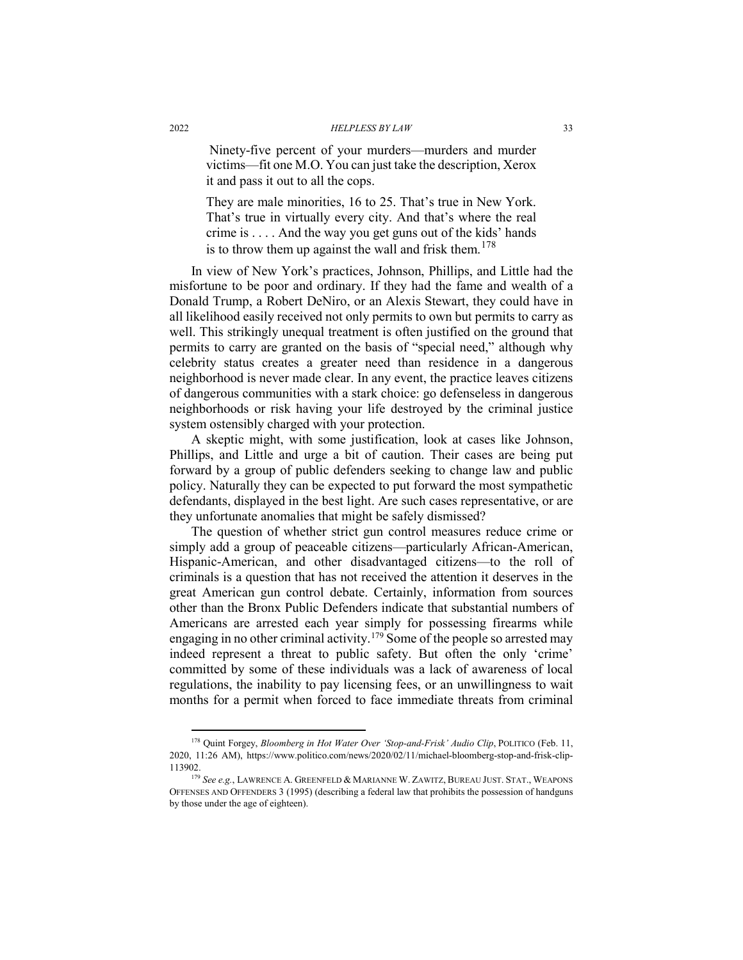Ninety-five percent of your murders—murders and murder victims—fit one M.O. You can just take the description, Xerox it and pass it out to all the cops.

They are male minorities, 16 to 25. That's true in New York. That's true in virtually every city. And that's where the real crime is . . . . And the way you get guns out of the kids' hands is to throw them up against the wall and frisk them.<sup>[178](#page-32-0)</sup>

In view of New York's practices, Johnson, Phillips, and Little had the misfortune to be poor and ordinary. If they had the fame and wealth of a Donald Trump, a Robert DeNiro, or an Alexis Stewart, they could have in all likelihood easily received not only permits to own but permits to carry as well. This strikingly unequal treatment is often justified on the ground that permits to carry are granted on the basis of "special need," although why celebrity status creates a greater need than residence in a dangerous neighborhood is never made clear. In any event, the practice leaves citizens of dangerous communities with a stark choice: go defenseless in dangerous neighborhoods or risk having your life destroyed by the criminal justice system ostensibly charged with your protection.

A skeptic might, with some justification, look at cases like Johnson, Phillips, and Little and urge a bit of caution. Their cases are being put forward by a group of public defenders seeking to change law and public policy. Naturally they can be expected to put forward the most sympathetic defendants, displayed in the best light. Are such cases representative, or are they unfortunate anomalies that might be safely dismissed?

The question of whether strict gun control measures reduce crime or simply add a group of peaceable citizens—particularly African-American, Hispanic-American, and other disadvantaged citizens—to the roll of criminals is a question that has not received the attention it deserves in the great American gun control debate. Certainly, information from sources other than the Bronx Public Defenders indicate that substantial numbers of Americans are arrested each year simply for possessing firearms while engaging in no other criminal activity.<sup>[179](#page-32-1)</sup> Some of the people so arrested may indeed represent a threat to public safety. But often the only 'crime' committed by some of these individuals was a lack of awareness of local regulations, the inability to pay licensing fees, or an unwillingness to wait months for a permit when forced to face immediate threats from criminal

<span id="page-32-0"></span><sup>&</sup>lt;sup>178</sup> Ouint Forgey, *Bloomberg in Hot Water Over 'Stop-and-Frisk' Audio Clip*, POLITICO (Feb. 11, 2020, 11:26 AM), https://www.politico.com/news/2020/02/11/michael-bloomberg-stop-and-frisk-clip-113902.

<span id="page-32-1"></span><sup>179</sup> *See e.g.*, LAWRENCE A. GREENFELD & MARIANNE W. ZAWITZ, BUREAU JUST. STAT., WEAPONS OFFENSES AND OFFENDERS 3 (1995) (describing a federal law that prohibits the possession of handguns by those under the age of eighteen).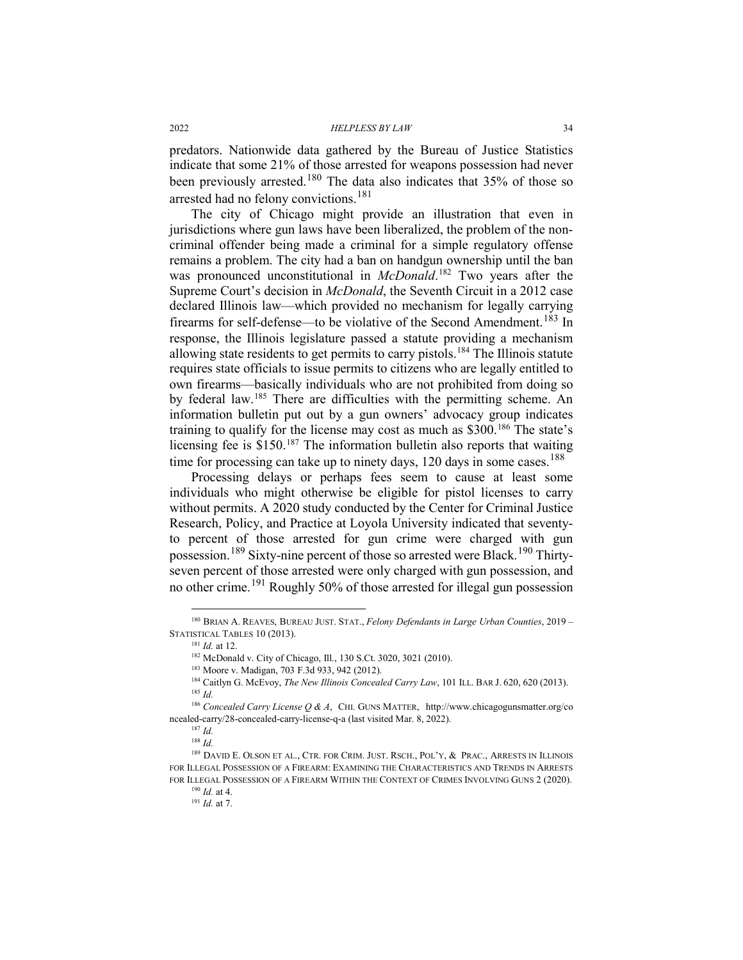predators. Nationwide data gathered by the Bureau of Justice Statistics indicate that some 21% of those arrested for weapons possession had never been previously arrested.<sup>[180](#page-33-0)</sup> The data also indicates that  $35\%$  of those so arrested had no felony convictions.<sup>[181](#page-33-1)</sup>

The city of Chicago might provide an illustration that even in jurisdictions where gun laws have been liberalized, the problem of the noncriminal offender being made a criminal for a simple regulatory offense remains a problem. The city had a ban on handgun ownership until the ban was pronounced unconstitutional in *McDonald*. [182](#page-33-2) Two years after the Supreme Court's decision in *McDonald*, the Seventh Circuit in a 2012 case declared Illinois law—which provided no mechanism for legally carrying firearms for self-defense—to be violative of the Second Amendment.<sup>[183](#page-33-3)</sup> In response, the Illinois legislature passed a statute providing a mechanism allowing state residents to get permits to carry pistols.[184](#page-33-4) The Illinois statute requires state officials to issue permits to citizens who are legally entitled to own firearms—basically individuals who are not prohibited from doing so by federal law.[185](#page-33-5) There are difficulties with the permitting scheme. An information bulletin put out by a gun owners' advocacy group indicates training to qualify for the license may cost as much as \$300.[186](#page-33-6) The state's licensing fee is \$150.[187](#page-33-7) The information bulletin also reports that waiting time for processing can take up to ninety days,  $120$  days in some cases.<sup>[188](#page-33-8)</sup>

Processing delays or perhaps fees seem to cause at least some individuals who might otherwise be eligible for pistol licenses to carry without permits. A 2020 study conducted by the Center for Criminal Justice Research, Policy, and Practice at Loyola University indicated that seventyto percent of those arrested for gun crime were charged with gun possession.<sup>[189](#page-33-9)</sup> Sixty-nine percent of those so arrested were Black.<sup>[190](#page-33-10)</sup> Thirtyseven percent of those arrested were only charged with gun possession, and no other crime.<sup>[191](#page-33-11)</sup> Roughly 50% of those arrested for illegal gun possession

<span id="page-33-12"></span><span id="page-33-2"></span><span id="page-33-1"></span><span id="page-33-0"></span> <sup>180</sup> BRIAN A. REAVES, BUREAU JUST. STAT., *Felony Defendants in Large Urban Counties*, <sup>2019</sup> – STATISTICAL TABLES 10 (2013).

<sup>181</sup> *Id.* at 12.

<sup>182</sup> McDonald v. City of Chicago, Ill., 130 S.Ct. 3020, 3021 (2010).

<sup>183</sup> Moore v. Madigan, 703 F.3d 933, 942 (2012).

<sup>&</sup>lt;sup>184</sup> Caitlyn G. McEvoy, *The New Illinois Concealed Carry Law*, 101 ILL. BAR J. 620, 620 (2013). <sup>185</sup> *Id.*

<span id="page-33-6"></span><span id="page-33-5"></span><span id="page-33-4"></span><span id="page-33-3"></span><sup>186</sup> *Concealed Carry License Q & A*, CHI. GUNS MATTER, http://www.chicagogunsmatter.org/co ncealed-carry/28-concealed-carry-license-q-a (last visited Mar. 8, 2022).

<sup>187</sup> *Id.*

<sup>188</sup> *Id.*

<span id="page-33-11"></span><span id="page-33-10"></span><span id="page-33-9"></span><span id="page-33-8"></span><span id="page-33-7"></span><sup>&</sup>lt;sup>189</sup> DAVID E. OLSON ET AL., CTR. FOR CRIM. JUST. RSCH., POL'Y, & PRAC., ARRESTS IN ILLINOIS FOR ILLEGAL POSSESSION OF A FIREARM: EXAMINING THE CHARACTERISTICS AND TRENDS IN ARRESTS FOR ILLEGAL POSSESSION OF A FIREARM WITHIN THE CONTEXT OF CRIMES INVOLVING GUNS 2 (2020). 190 *Id.* at 4.

<sup>191</sup> *Id.* at 7.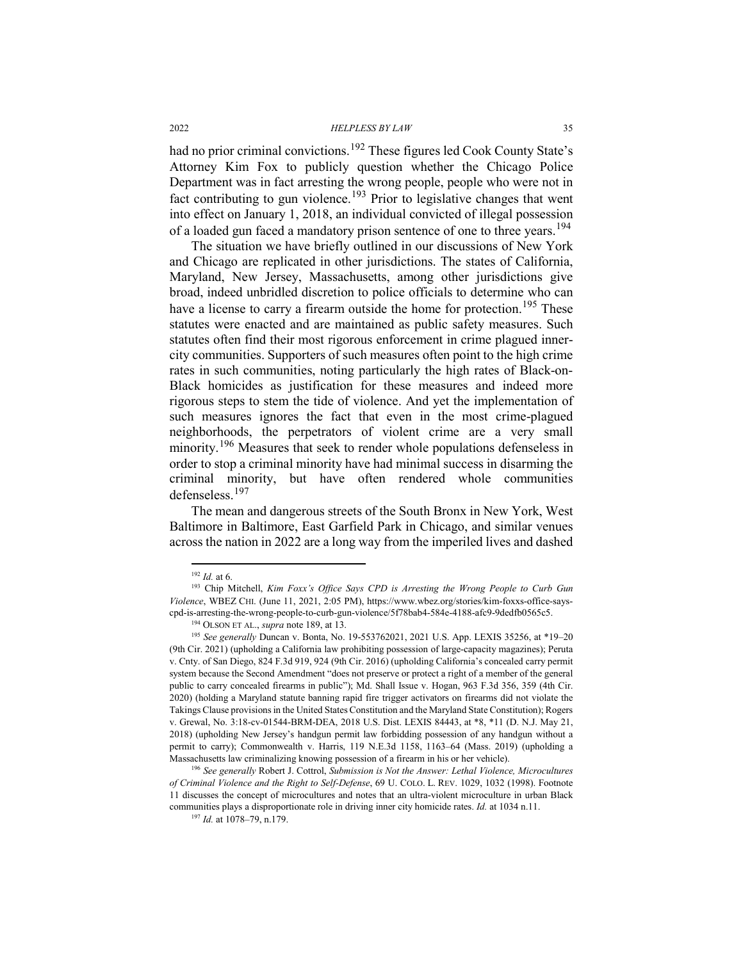had no prior criminal convictions.<sup>[192](#page-34-0)</sup> These figures led Cook County State's Attorney Kim Fox to publicly question whether the Chicago Police Department was in fact arresting the wrong people, people who were not in fact contributing to gun violence.<sup>[193](#page-34-1)</sup> Prior to legislative changes that went into effect on January 1, 2018, an individual convicted of illegal possession of a loaded gun faced a mandatory prison sentence of one to three vears.<sup>[194](#page-34-2)</sup>

The situation we have briefly outlined in our discussions of New York and Chicago are replicated in other jurisdictions. The states of California, Maryland, New Jersey, Massachusetts, among other jurisdictions give broad, indeed unbridled discretion to police officials to determine who can have a license to carry a firearm outside the home for protection.<sup>[195](#page-34-3)</sup> These statutes were enacted and are maintained as public safety measures. Such statutes often find their most rigorous enforcement in crime plagued innercity communities. Supporters of such measures often point to the high crime rates in such communities, noting particularly the high rates of Black-on-Black homicides as justification for these measures and indeed more rigorous steps to stem the tide of violence. And yet the implementation of such measures ignores the fact that even in the most crime-plagued neighborhoods, the perpetrators of violent crime are a very small minority.<sup>[196](#page-34-4)</sup> Measures that seek to render whole populations defenseless in order to stop a criminal minority have had minimal success in disarming the criminal minority, but have often rendered whole communities defenseless.[197](#page-34-5)

The mean and dangerous streets of the South Bronx in New York, West Baltimore in Baltimore, East Garfield Park in Chicago, and similar venues across the nation in 2022 are a long way from the imperiled lives and dashed

 <sup>192</sup> *Id.* at 6.

<span id="page-34-1"></span><span id="page-34-0"></span><sup>193</sup> Chip Mitchell, *Kim Foxx's Office Says CPD is Arresting the Wrong People to Curb Gun Violence*, WBEZ CHI. (June 11, 2021, 2:05 PM), https://www.wbez.org/stories/kim-foxxs-office-sayscpd-is-arresting-the-wrong-people-to-curb-gun-violence/5f78bab4-584e-4188-afc9-9dedfb0565c5.

<sup>194</sup> OLSON ET AL., *supra* not[e 189,](#page-33-12) at 13.

<span id="page-34-3"></span><span id="page-34-2"></span><sup>195</sup> *See generally* Duncan v. Bonta, No. 19-553762021, 2021 U.S. App. LEXIS 35256, at \*19–20 (9th Cir. 2021) (upholding a California law prohibiting possession of large-capacity magazines); Peruta v. Cnty. of San Diego, 824 F.3d 919, 924 (9th Cir. 2016) (upholding California's concealed carry permit system because the Second Amendment "does not preserve or protect a right of a member of the general public to carry concealed firearms in public"); Md. Shall Issue v. Hogan, 963 F.3d 356, 359 (4th Cir. 2020) (holding a Maryland statute banning rapid fire trigger activators on firearms did not violate the Takings Clause provisions in the United States Constitution and the Maryland State Constitution); Rogers v. Grewal, No. 3:18-cv-01544-BRM-DEA, 2018 U.S. Dist. LEXIS 84443, at \*8, \*11 (D. N.J. May 21, 2018) (upholding New Jersey's handgun permit law forbidding possession of any handgun without a permit to carry); Commonwealth v. Harris, 119 N.E.3d 1158, 1163–64 (Mass. 2019) (upholding a Massachusetts law criminalizing knowing possession of a firearm in his or her vehicle).

<span id="page-34-5"></span><span id="page-34-4"></span><sup>196</sup> *See generally* Robert J. Cottrol, *Submission is Not the Answer: Lethal Violence, Microcultures of Criminal Violence and the Right to Self-Defense*, 69 U. COLO. L. REV. 1029, 1032 (1998). Footnote 11 discusses the concept of microcultures and notes that an ultra-violent microculture in urban Black communities plays a disproportionate role in driving inner city homicide rates. *Id.* at 1034 n.11. <sup>197</sup> *Id.* at 1078–79, n.179.